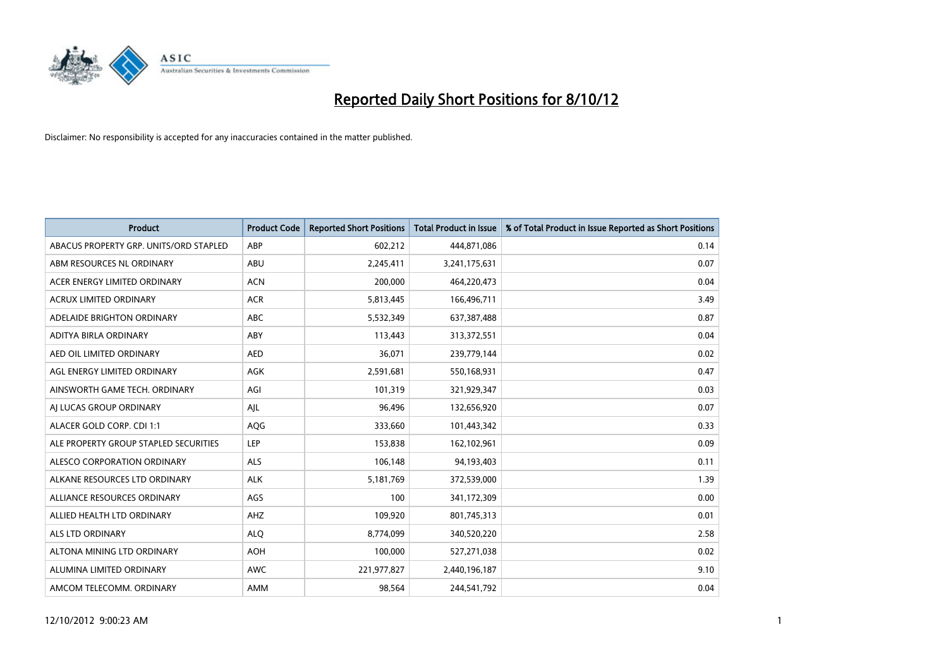

| <b>Product</b>                         | <b>Product Code</b> | <b>Reported Short Positions</b> | <b>Total Product in Issue</b> | % of Total Product in Issue Reported as Short Positions |
|----------------------------------------|---------------------|---------------------------------|-------------------------------|---------------------------------------------------------|
| ABACUS PROPERTY GRP. UNITS/ORD STAPLED | ABP                 | 602,212                         | 444,871,086                   | 0.14                                                    |
| ABM RESOURCES NL ORDINARY              | ABU                 | 2,245,411                       | 3,241,175,631                 | 0.07                                                    |
| ACER ENERGY LIMITED ORDINARY           | <b>ACN</b>          | 200,000                         | 464,220,473                   | 0.04                                                    |
| ACRUX LIMITED ORDINARY                 | <b>ACR</b>          | 5,813,445                       | 166,496,711                   | 3.49                                                    |
| ADELAIDE BRIGHTON ORDINARY             | <b>ABC</b>          | 5,532,349                       | 637,387,488                   | 0.87                                                    |
| ADITYA BIRLA ORDINARY                  | ABY                 | 113,443                         | 313,372,551                   | 0.04                                                    |
| AED OIL LIMITED ORDINARY               | <b>AED</b>          | 36,071                          | 239,779,144                   | 0.02                                                    |
| AGL ENERGY LIMITED ORDINARY            | <b>AGK</b>          | 2,591,681                       | 550,168,931                   | 0.47                                                    |
| AINSWORTH GAME TECH. ORDINARY          | AGI                 | 101,319                         | 321,929,347                   | 0.03                                                    |
| AI LUCAS GROUP ORDINARY                | AJL                 | 96,496                          | 132,656,920                   | 0.07                                                    |
| ALACER GOLD CORP. CDI 1:1              | AQG                 | 333,660                         | 101,443,342                   | 0.33                                                    |
| ALE PROPERTY GROUP STAPLED SECURITIES  | LEP                 | 153,838                         | 162,102,961                   | 0.09                                                    |
| ALESCO CORPORATION ORDINARY            | <b>ALS</b>          | 106,148                         | 94,193,403                    | 0.11                                                    |
| ALKANE RESOURCES LTD ORDINARY          | <b>ALK</b>          | 5,181,769                       | 372,539,000                   | 1.39                                                    |
| ALLIANCE RESOURCES ORDINARY            | AGS                 | 100                             | 341,172,309                   | 0.00                                                    |
| ALLIED HEALTH LTD ORDINARY             | AHZ                 | 109,920                         | 801,745,313                   | 0.01                                                    |
| ALS LTD ORDINARY                       | <b>ALO</b>          | 8,774,099                       | 340,520,220                   | 2.58                                                    |
| ALTONA MINING LTD ORDINARY             | <b>AOH</b>          | 100,000                         | 527,271,038                   | 0.02                                                    |
| ALUMINA LIMITED ORDINARY               | <b>AWC</b>          | 221,977,827                     | 2,440,196,187                 | 9.10                                                    |
| AMCOM TELECOMM, ORDINARY               | <b>AMM</b>          | 98.564                          | 244,541,792                   | 0.04                                                    |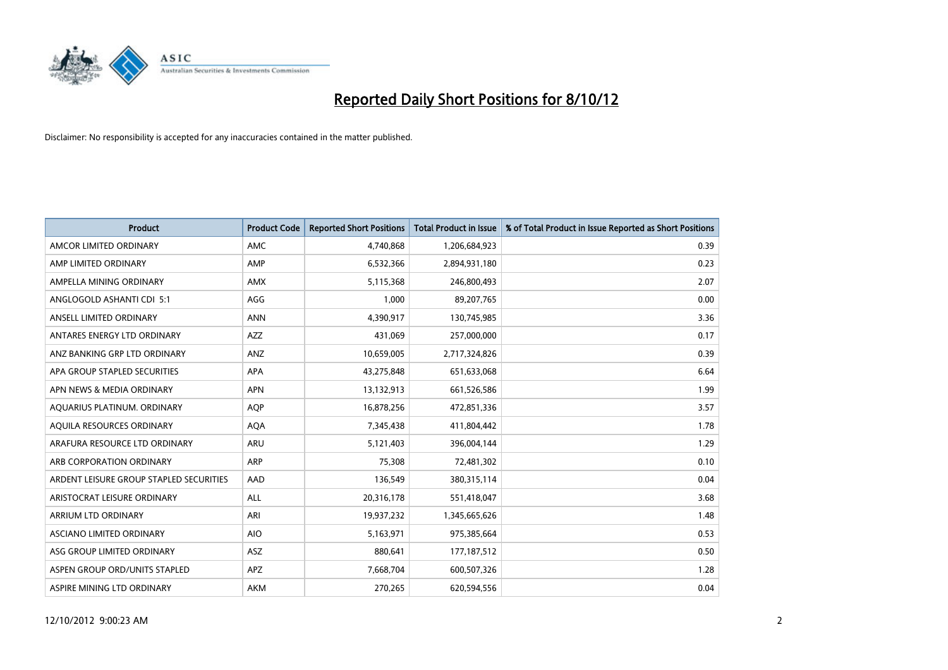

| <b>Product</b>                          | <b>Product Code</b> | <b>Reported Short Positions</b> | <b>Total Product in Issue</b> | % of Total Product in Issue Reported as Short Positions |
|-----------------------------------------|---------------------|---------------------------------|-------------------------------|---------------------------------------------------------|
| AMCOR LIMITED ORDINARY                  | <b>AMC</b>          | 4,740,868                       | 1,206,684,923                 | 0.39                                                    |
| AMP LIMITED ORDINARY                    | AMP                 | 6,532,366                       | 2,894,931,180                 | 0.23                                                    |
| AMPELLA MINING ORDINARY                 | <b>AMX</b>          | 5,115,368                       | 246,800,493                   | 2.07                                                    |
| ANGLOGOLD ASHANTI CDI 5:1               | AGG                 | 1,000                           | 89,207,765                    | 0.00                                                    |
| ANSELL LIMITED ORDINARY                 | <b>ANN</b>          | 4,390,917                       | 130,745,985                   | 3.36                                                    |
| ANTARES ENERGY LTD ORDINARY             | <b>AZZ</b>          | 431,069                         | 257,000,000                   | 0.17                                                    |
| ANZ BANKING GRP LTD ORDINARY            | <b>ANZ</b>          | 10,659,005                      | 2,717,324,826                 | 0.39                                                    |
| APA GROUP STAPLED SECURITIES            | <b>APA</b>          | 43,275,848                      | 651,633,068                   | 6.64                                                    |
| APN NEWS & MEDIA ORDINARY               | <b>APN</b>          | 13,132,913                      | 661,526,586                   | 1.99                                                    |
| AQUARIUS PLATINUM. ORDINARY             | <b>AOP</b>          | 16,878,256                      | 472,851,336                   | 3.57                                                    |
| AQUILA RESOURCES ORDINARY               | <b>AQA</b>          | 7,345,438                       | 411,804,442                   | 1.78                                                    |
| ARAFURA RESOURCE LTD ORDINARY           | <b>ARU</b>          | 5,121,403                       | 396,004,144                   | 1.29                                                    |
| ARB CORPORATION ORDINARY                | <b>ARP</b>          | 75,308                          | 72,481,302                    | 0.10                                                    |
| ARDENT LEISURE GROUP STAPLED SECURITIES | AAD                 | 136,549                         | 380, 315, 114                 | 0.04                                                    |
| ARISTOCRAT LEISURE ORDINARY             | <b>ALL</b>          | 20,316,178                      | 551,418,047                   | 3.68                                                    |
| ARRIUM LTD ORDINARY                     | ARI                 | 19,937,232                      | 1,345,665,626                 | 1.48                                                    |
| ASCIANO LIMITED ORDINARY                | <b>AIO</b>          | 5,163,971                       | 975,385,664                   | 0.53                                                    |
| ASG GROUP LIMITED ORDINARY              | <b>ASZ</b>          | 880,641                         | 177, 187, 512                 | 0.50                                                    |
| ASPEN GROUP ORD/UNITS STAPLED           | APZ                 | 7,668,704                       | 600,507,326                   | 1.28                                                    |
| ASPIRE MINING LTD ORDINARY              | <b>AKM</b>          | 270,265                         | 620,594,556                   | 0.04                                                    |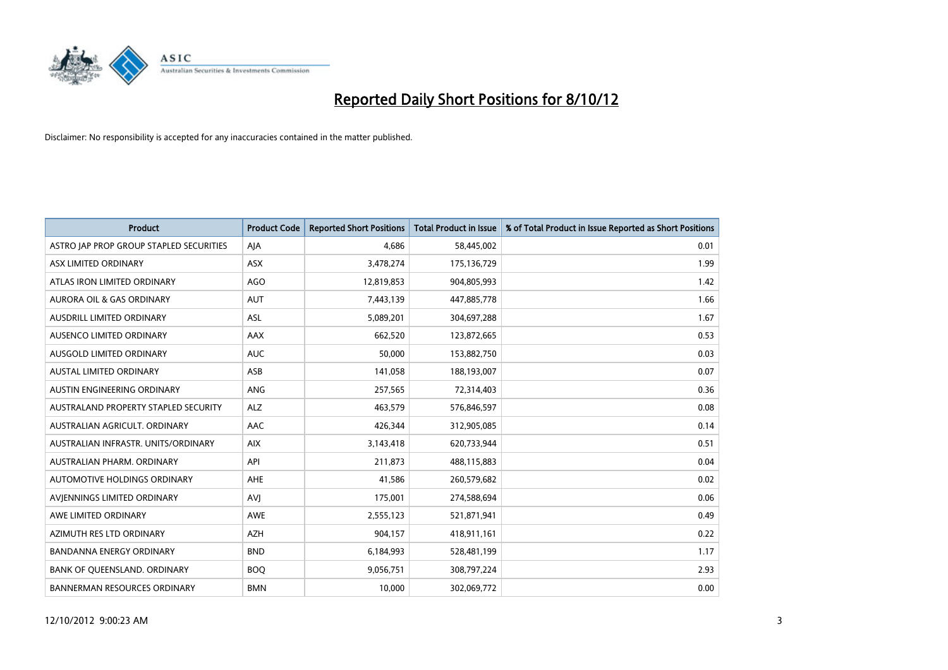

| <b>Product</b>                          | <b>Product Code</b> | <b>Reported Short Positions</b> | <b>Total Product in Issue</b> | % of Total Product in Issue Reported as Short Positions |
|-----------------------------------------|---------------------|---------------------------------|-------------------------------|---------------------------------------------------------|
| ASTRO JAP PROP GROUP STAPLED SECURITIES | AJA                 | 4.686                           | 58,445,002                    | 0.01                                                    |
| ASX LIMITED ORDINARY                    | ASX                 | 3,478,274                       | 175,136,729                   | 1.99                                                    |
| ATLAS IRON LIMITED ORDINARY             | AGO                 | 12,819,853                      | 904,805,993                   | 1.42                                                    |
| AURORA OIL & GAS ORDINARY               | <b>AUT</b>          | 7,443,139                       | 447,885,778                   | 1.66                                                    |
| AUSDRILL LIMITED ORDINARY               | <b>ASL</b>          | 5,089,201                       | 304,697,288                   | 1.67                                                    |
| AUSENCO LIMITED ORDINARY                | AAX                 | 662,520                         | 123,872,665                   | 0.53                                                    |
| AUSGOLD LIMITED ORDINARY                | <b>AUC</b>          | 50,000                          | 153,882,750                   | 0.03                                                    |
| <b>AUSTAL LIMITED ORDINARY</b>          | ASB                 | 141,058                         | 188,193,007                   | 0.07                                                    |
| AUSTIN ENGINEERING ORDINARY             | <b>ANG</b>          | 257,565                         | 72,314,403                    | 0.36                                                    |
| AUSTRALAND PROPERTY STAPLED SECURITY    | <b>ALZ</b>          | 463,579                         | 576,846,597                   | 0.08                                                    |
| AUSTRALIAN AGRICULT, ORDINARY           | AAC                 | 426,344                         | 312,905,085                   | 0.14                                                    |
| AUSTRALIAN INFRASTR, UNITS/ORDINARY     | <b>AIX</b>          | 3,143,418                       | 620,733,944                   | 0.51                                                    |
| AUSTRALIAN PHARM, ORDINARY              | API                 | 211,873                         | 488,115,883                   | 0.04                                                    |
| AUTOMOTIVE HOLDINGS ORDINARY            | <b>AHE</b>          | 41,586                          | 260,579,682                   | 0.02                                                    |
| AVIENNINGS LIMITED ORDINARY             | AVI                 | 175,001                         | 274,588,694                   | 0.06                                                    |
| AWE LIMITED ORDINARY                    | <b>AWE</b>          | 2,555,123                       | 521,871,941                   | 0.49                                                    |
| AZIMUTH RES LTD ORDINARY                | <b>AZH</b>          | 904,157                         | 418,911,161                   | 0.22                                                    |
| <b>BANDANNA ENERGY ORDINARY</b>         | <b>BND</b>          | 6,184,993                       | 528,481,199                   | 1.17                                                    |
| BANK OF OUEENSLAND, ORDINARY            | <b>BOQ</b>          | 9,056,751                       | 308,797,224                   | 2.93                                                    |
| <b>BANNERMAN RESOURCES ORDINARY</b>     | <b>BMN</b>          | 10.000                          | 302,069,772                   | 0.00                                                    |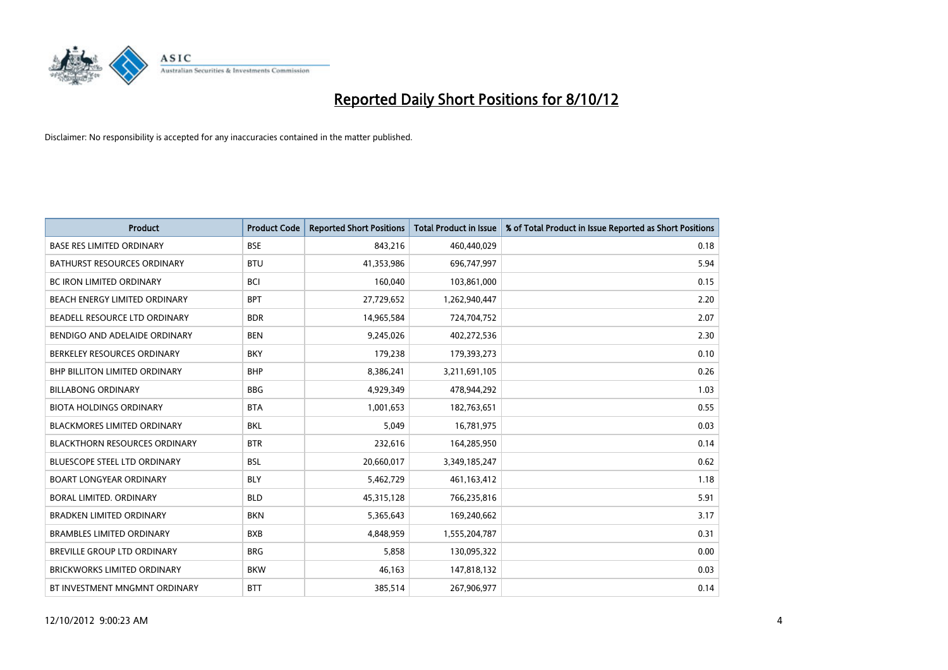

| <b>Product</b>                       | <b>Product Code</b> | <b>Reported Short Positions</b> | <b>Total Product in Issue</b> | % of Total Product in Issue Reported as Short Positions |
|--------------------------------------|---------------------|---------------------------------|-------------------------------|---------------------------------------------------------|
| <b>BASE RES LIMITED ORDINARY</b>     | <b>BSE</b>          | 843,216                         | 460,440,029                   | 0.18                                                    |
| <b>BATHURST RESOURCES ORDINARY</b>   | <b>BTU</b>          | 41,353,986                      | 696,747,997                   | 5.94                                                    |
| <b>BC IRON LIMITED ORDINARY</b>      | <b>BCI</b>          | 160,040                         | 103,861,000                   | 0.15                                                    |
| BEACH ENERGY LIMITED ORDINARY        | <b>BPT</b>          | 27,729,652                      | 1,262,940,447                 | 2.20                                                    |
| BEADELL RESOURCE LTD ORDINARY        | <b>BDR</b>          | 14,965,584                      | 724,704,752                   | 2.07                                                    |
| BENDIGO AND ADELAIDE ORDINARY        | <b>BEN</b>          | 9,245,026                       | 402,272,536                   | 2.30                                                    |
| BERKELEY RESOURCES ORDINARY          | <b>BKY</b>          | 179,238                         | 179,393,273                   | 0.10                                                    |
| <b>BHP BILLITON LIMITED ORDINARY</b> | <b>BHP</b>          | 8,386,241                       | 3,211,691,105                 | 0.26                                                    |
| <b>BILLABONG ORDINARY</b>            | <b>BBG</b>          | 4,929,349                       | 478,944,292                   | 1.03                                                    |
| <b>BIOTA HOLDINGS ORDINARY</b>       | <b>BTA</b>          | 1,001,653                       | 182,763,651                   | 0.55                                                    |
| BLACKMORES LIMITED ORDINARY          | <b>BKL</b>          | 5,049                           | 16,781,975                    | 0.03                                                    |
| <b>BLACKTHORN RESOURCES ORDINARY</b> | <b>BTR</b>          | 232,616                         | 164,285,950                   | 0.14                                                    |
| <b>BLUESCOPE STEEL LTD ORDINARY</b>  | <b>BSL</b>          | 20,660,017                      | 3,349,185,247                 | 0.62                                                    |
| <b>BOART LONGYEAR ORDINARY</b>       | <b>BLY</b>          | 5,462,729                       | 461,163,412                   | 1.18                                                    |
| BORAL LIMITED, ORDINARY              | <b>BLD</b>          | 45,315,128                      | 766,235,816                   | 5.91                                                    |
| BRADKEN LIMITED ORDINARY             | <b>BKN</b>          | 5,365,643                       | 169,240,662                   | 3.17                                                    |
| <b>BRAMBLES LIMITED ORDINARY</b>     | <b>BXB</b>          | 4,848,959                       | 1,555,204,787                 | 0.31                                                    |
| BREVILLE GROUP LTD ORDINARY          | <b>BRG</b>          | 5,858                           | 130,095,322                   | 0.00                                                    |
| <b>BRICKWORKS LIMITED ORDINARY</b>   | <b>BKW</b>          | 46,163                          | 147,818,132                   | 0.03                                                    |
| BT INVESTMENT MNGMNT ORDINARY        | <b>BTT</b>          | 385,514                         | 267,906,977                   | 0.14                                                    |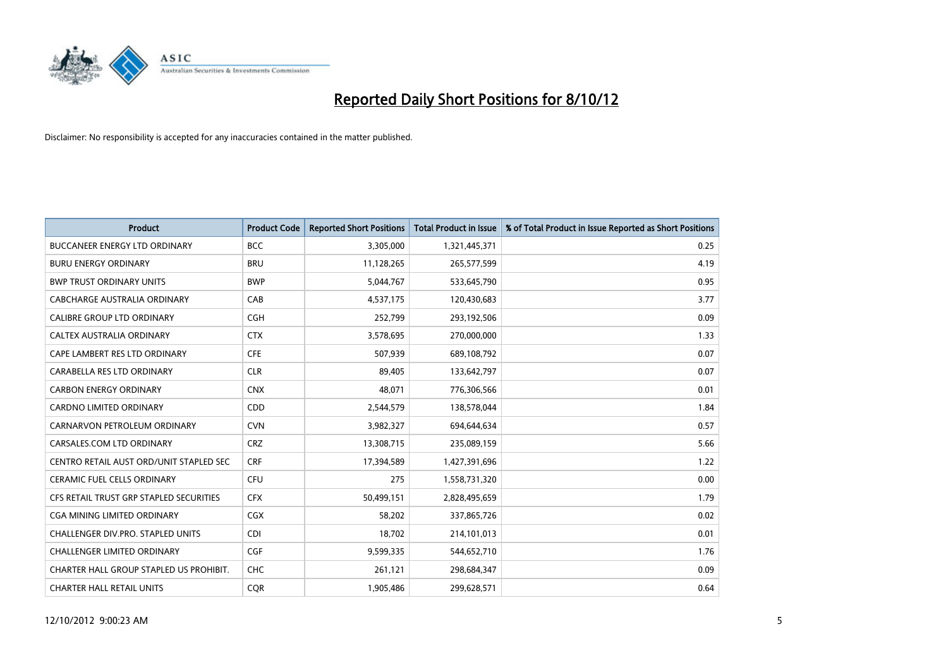

| <b>Product</b>                          | <b>Product Code</b> | <b>Reported Short Positions</b> | <b>Total Product in Issue</b> | % of Total Product in Issue Reported as Short Positions |
|-----------------------------------------|---------------------|---------------------------------|-------------------------------|---------------------------------------------------------|
| <b>BUCCANEER ENERGY LTD ORDINARY</b>    | <b>BCC</b>          | 3,305,000                       | 1,321,445,371                 | 0.25                                                    |
| <b>BURU ENERGY ORDINARY</b>             | <b>BRU</b>          | 11,128,265                      | 265,577,599                   | 4.19                                                    |
| <b>BWP TRUST ORDINARY UNITS</b>         | <b>BWP</b>          | 5,044,767                       | 533,645,790                   | 0.95                                                    |
| CABCHARGE AUSTRALIA ORDINARY            | CAB                 | 4,537,175                       | 120,430,683                   | 3.77                                                    |
| CALIBRE GROUP LTD ORDINARY              | <b>CGH</b>          | 252,799                         | 293,192,506                   | 0.09                                                    |
| CALTEX AUSTRALIA ORDINARY               | <b>CTX</b>          | 3,578,695                       | 270,000,000                   | 1.33                                                    |
| CAPE LAMBERT RES LTD ORDINARY           | <b>CFE</b>          | 507.939                         | 689,108,792                   | 0.07                                                    |
| CARABELLA RES LTD ORDINARY              | <b>CLR</b>          | 89,405                          | 133,642,797                   | 0.07                                                    |
| <b>CARBON ENERGY ORDINARY</b>           | <b>CNX</b>          | 48,071                          | 776,306,566                   | 0.01                                                    |
| <b>CARDNO LIMITED ORDINARY</b>          | CDD                 | 2,544,579                       | 138,578,044                   | 1.84                                                    |
| CARNARVON PETROLEUM ORDINARY            | <b>CVN</b>          | 3,982,327                       | 694,644,634                   | 0.57                                                    |
| CARSALES.COM LTD ORDINARY               | <b>CRZ</b>          | 13,308,715                      | 235,089,159                   | 5.66                                                    |
| CENTRO RETAIL AUST ORD/UNIT STAPLED SEC | <b>CRF</b>          | 17,394,589                      | 1,427,391,696                 | 1.22                                                    |
| <b>CERAMIC FUEL CELLS ORDINARY</b>      | <b>CFU</b>          | 275                             | 1,558,731,320                 | 0.00                                                    |
| CFS RETAIL TRUST GRP STAPLED SECURITIES | <b>CFX</b>          | 50,499,151                      | 2,828,495,659                 | 1.79                                                    |
| CGA MINING LIMITED ORDINARY             | CGX                 | 58,202                          | 337,865,726                   | 0.02                                                    |
| CHALLENGER DIV.PRO. STAPLED UNITS       | <b>CDI</b>          | 18,702                          | 214,101,013                   | 0.01                                                    |
| <b>CHALLENGER LIMITED ORDINARY</b>      | <b>CGF</b>          | 9,599,335                       | 544,652,710                   | 1.76                                                    |
| CHARTER HALL GROUP STAPLED US PROHIBIT. | <b>CHC</b>          | 261,121                         | 298,684,347                   | 0.09                                                    |
| <b>CHARTER HALL RETAIL UNITS</b>        | <b>COR</b>          | 1.905.486                       | 299,628,571                   | 0.64                                                    |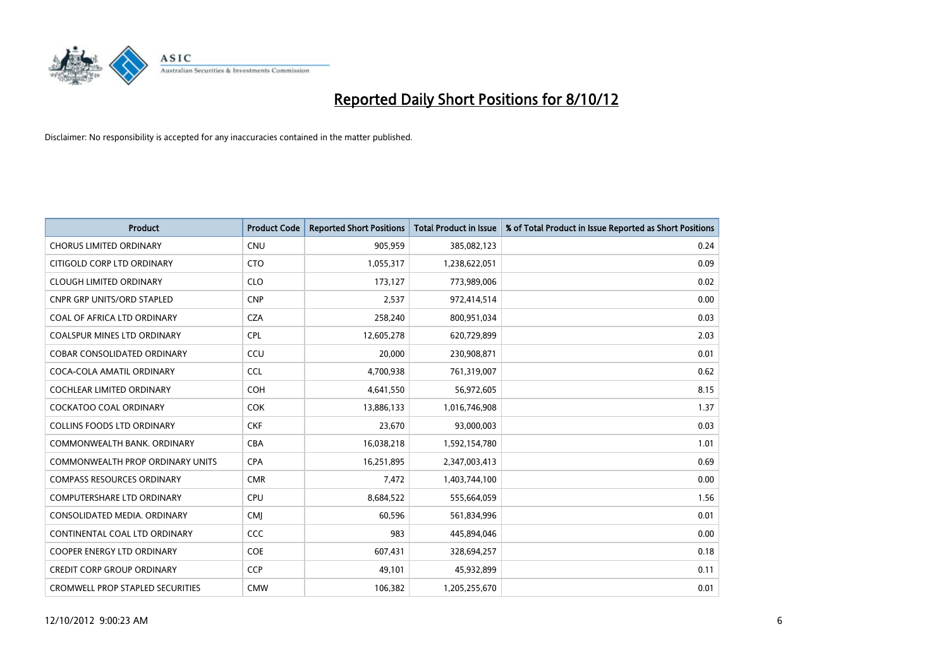

| <b>Product</b>                          | <b>Product Code</b> | <b>Reported Short Positions</b> | <b>Total Product in Issue</b> | % of Total Product in Issue Reported as Short Positions |
|-----------------------------------------|---------------------|---------------------------------|-------------------------------|---------------------------------------------------------|
| <b>CHORUS LIMITED ORDINARY</b>          | <b>CNU</b>          | 905,959                         | 385,082,123                   | 0.24                                                    |
| CITIGOLD CORP LTD ORDINARY              | <b>CTO</b>          | 1,055,317                       | 1,238,622,051                 | 0.09                                                    |
| <b>CLOUGH LIMITED ORDINARY</b>          | <b>CLO</b>          | 173,127                         | 773,989,006                   | 0.02                                                    |
| <b>CNPR GRP UNITS/ORD STAPLED</b>       | <b>CNP</b>          | 2,537                           | 972,414,514                   | 0.00                                                    |
| COAL OF AFRICA LTD ORDINARY             | <b>CZA</b>          | 258,240                         | 800,951,034                   | 0.03                                                    |
| <b>COALSPUR MINES LTD ORDINARY</b>      | CPL                 | 12,605,278                      | 620,729,899                   | 2.03                                                    |
| <b>COBAR CONSOLIDATED ORDINARY</b>      | CCU                 | 20.000                          | 230,908,871                   | 0.01                                                    |
| COCA-COLA AMATIL ORDINARY               | <b>CCL</b>          | 4,700,938                       | 761,319,007                   | 0.62                                                    |
| COCHLEAR LIMITED ORDINARY               | <b>COH</b>          | 4,641,550                       | 56,972,605                    | 8.15                                                    |
| <b>COCKATOO COAL ORDINARY</b>           | <b>COK</b>          | 13,886,133                      | 1,016,746,908                 | 1.37                                                    |
| <b>COLLINS FOODS LTD ORDINARY</b>       | <b>CKF</b>          | 23,670                          | 93,000,003                    | 0.03                                                    |
| COMMONWEALTH BANK, ORDINARY             | <b>CBA</b>          | 16,038,218                      | 1,592,154,780                 | 1.01                                                    |
| <b>COMMONWEALTH PROP ORDINARY UNITS</b> | <b>CPA</b>          | 16,251,895                      | 2,347,003,413                 | 0.69                                                    |
| <b>COMPASS RESOURCES ORDINARY</b>       | <b>CMR</b>          | 7,472                           | 1,403,744,100                 | 0.00                                                    |
| <b>COMPUTERSHARE LTD ORDINARY</b>       | CPU                 | 8,684,522                       | 555,664,059                   | 1.56                                                    |
| CONSOLIDATED MEDIA. ORDINARY            | <b>CMI</b>          | 60,596                          | 561,834,996                   | 0.01                                                    |
| CONTINENTAL COAL LTD ORDINARY           | CCC                 | 983                             | 445,894,046                   | 0.00                                                    |
| COOPER ENERGY LTD ORDINARY              | <b>COE</b>          | 607,431                         | 328,694,257                   | 0.18                                                    |
| <b>CREDIT CORP GROUP ORDINARY</b>       | <b>CCP</b>          | 49,101                          | 45,932,899                    | 0.11                                                    |
| <b>CROMWELL PROP STAPLED SECURITIES</b> | <b>CMW</b>          | 106,382                         | 1,205,255,670                 | 0.01                                                    |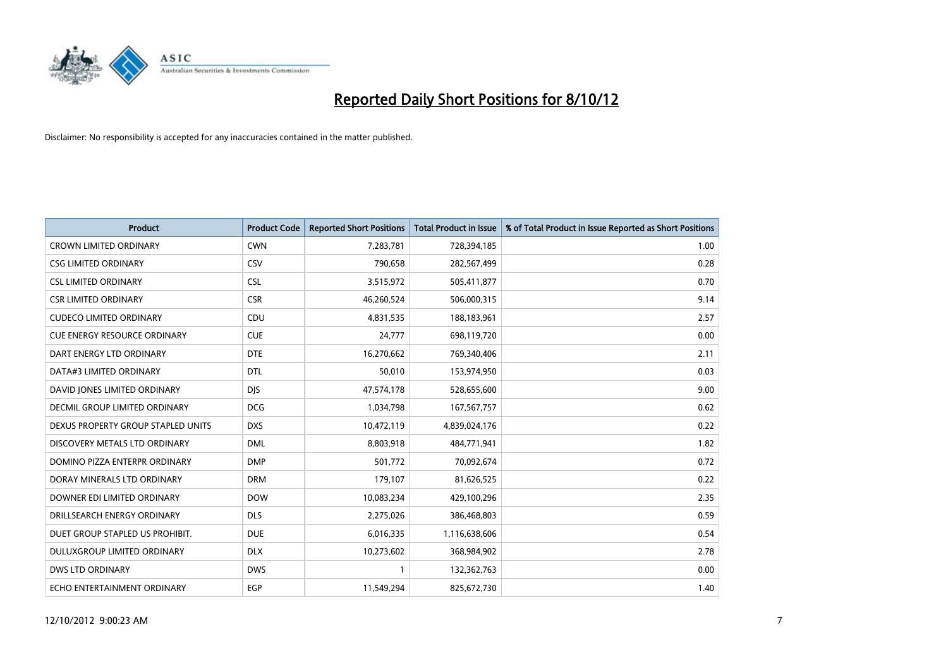

| <b>Product</b>                       | <b>Product Code</b> | <b>Reported Short Positions</b> | <b>Total Product in Issue</b> | % of Total Product in Issue Reported as Short Positions |
|--------------------------------------|---------------------|---------------------------------|-------------------------------|---------------------------------------------------------|
| <b>CROWN LIMITED ORDINARY</b>        | <b>CWN</b>          | 7,283,781                       | 728,394,185                   | 1.00                                                    |
| <b>CSG LIMITED ORDINARY</b>          | CSV                 | 790,658                         | 282,567,499                   | 0.28                                                    |
| <b>CSL LIMITED ORDINARY</b>          | <b>CSL</b>          | 3,515,972                       | 505,411,877                   | 0.70                                                    |
| <b>CSR LIMITED ORDINARY</b>          | <b>CSR</b>          | 46,260,524                      | 506,000,315                   | 9.14                                                    |
| <b>CUDECO LIMITED ORDINARY</b>       | CDU                 | 4,831,535                       | 188,183,961                   | 2.57                                                    |
| <b>CUE ENERGY RESOURCE ORDINARY</b>  | <b>CUE</b>          | 24,777                          | 698,119,720                   | 0.00                                                    |
| DART ENERGY LTD ORDINARY             | <b>DTE</b>          | 16,270,662                      | 769,340,406                   | 2.11                                                    |
| DATA#3 LIMITED ORDINARY              | <b>DTL</b>          | 50,010                          | 153,974,950                   | 0.03                                                    |
| DAVID JONES LIMITED ORDINARY         | <b>DJS</b>          | 47,574,178                      | 528,655,600                   | 9.00                                                    |
| <b>DECMIL GROUP LIMITED ORDINARY</b> | <b>DCG</b>          | 1,034,798                       | 167,567,757                   | 0.62                                                    |
| DEXUS PROPERTY GROUP STAPLED UNITS   | <b>DXS</b>          | 10,472,119                      | 4,839,024,176                 | 0.22                                                    |
| DISCOVERY METALS LTD ORDINARY        | <b>DML</b>          | 8,803,918                       | 484,771,941                   | 1.82                                                    |
| DOMINO PIZZA ENTERPR ORDINARY        | <b>DMP</b>          | 501,772                         | 70,092,674                    | 0.72                                                    |
| DORAY MINERALS LTD ORDINARY          | <b>DRM</b>          | 179,107                         | 81,626,525                    | 0.22                                                    |
| DOWNER EDI LIMITED ORDINARY          | <b>DOW</b>          | 10,083,234                      | 429,100,296                   | 2.35                                                    |
| DRILLSEARCH ENERGY ORDINARY          | <b>DLS</b>          | 2,275,026                       | 386,468,803                   | 0.59                                                    |
| DUET GROUP STAPLED US PROHIBIT.      | <b>DUE</b>          | 6,016,335                       | 1,116,638,606                 | 0.54                                                    |
| DULUXGROUP LIMITED ORDINARY          | <b>DLX</b>          | 10,273,602                      | 368,984,902                   | 2.78                                                    |
| <b>DWS LTD ORDINARY</b>              | <b>DWS</b>          | 1                               | 132,362,763                   | 0.00                                                    |
| ECHO ENTERTAINMENT ORDINARY          | EGP                 | 11,549,294                      | 825,672,730                   | 1.40                                                    |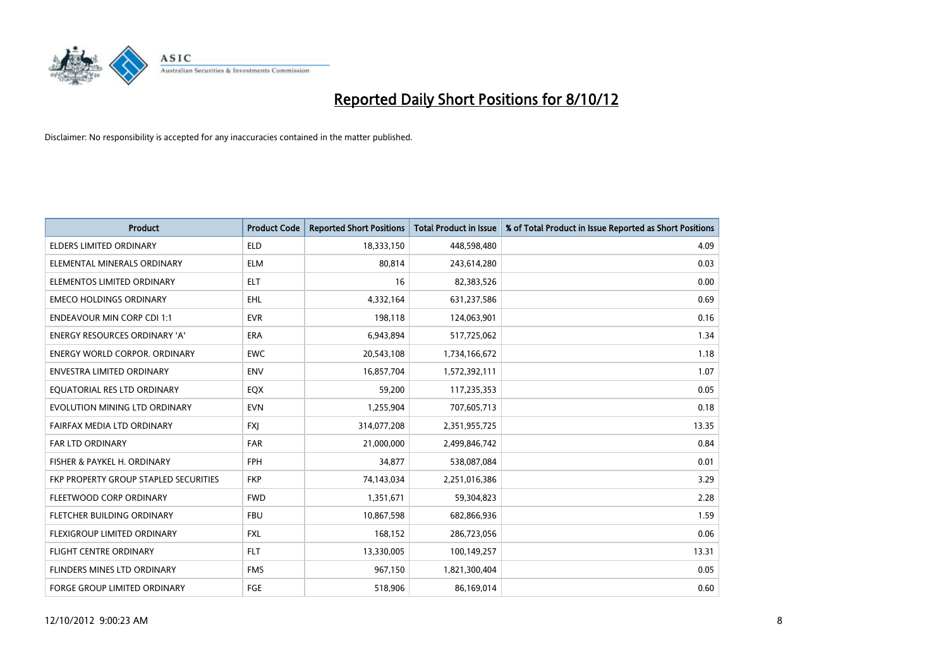

| <b>Product</b>                        | <b>Product Code</b> | <b>Reported Short Positions</b> | <b>Total Product in Issue</b> | % of Total Product in Issue Reported as Short Positions |
|---------------------------------------|---------------------|---------------------------------|-------------------------------|---------------------------------------------------------|
| ELDERS LIMITED ORDINARY               | <b>ELD</b>          | 18,333,150                      | 448,598,480                   | 4.09                                                    |
| ELEMENTAL MINERALS ORDINARY           | <b>ELM</b>          | 80,814                          | 243,614,280                   | 0.03                                                    |
| ELEMENTOS LIMITED ORDINARY            | <b>ELT</b>          | 16                              | 82,383,526                    | 0.00                                                    |
| <b>EMECO HOLDINGS ORDINARY</b>        | <b>EHL</b>          | 4,332,164                       | 631,237,586                   | 0.69                                                    |
| <b>ENDEAVOUR MIN CORP CDI 1:1</b>     | <b>EVR</b>          | 198,118                         | 124,063,901                   | 0.16                                                    |
| <b>ENERGY RESOURCES ORDINARY 'A'</b>  | <b>ERA</b>          | 6,943,894                       | 517,725,062                   | 1.34                                                    |
| <b>ENERGY WORLD CORPOR, ORDINARY</b>  | <b>EWC</b>          | 20,543,108                      | 1,734,166,672                 | 1.18                                                    |
| <b>ENVESTRA LIMITED ORDINARY</b>      | <b>ENV</b>          | 16,857,704                      | 1,572,392,111                 | 1.07                                                    |
| EQUATORIAL RES LTD ORDINARY           | EQX                 | 59,200                          | 117,235,353                   | 0.05                                                    |
| EVOLUTION MINING LTD ORDINARY         | <b>EVN</b>          | 1,255,904                       | 707,605,713                   | 0.18                                                    |
| FAIRFAX MEDIA LTD ORDINARY            | <b>FXI</b>          | 314,077,208                     | 2,351,955,725                 | 13.35                                                   |
| <b>FAR LTD ORDINARY</b>               | <b>FAR</b>          | 21,000,000                      | 2,499,846,742                 | 0.84                                                    |
| FISHER & PAYKEL H. ORDINARY           | <b>FPH</b>          | 34,877                          | 538,087,084                   | 0.01                                                    |
| FKP PROPERTY GROUP STAPLED SECURITIES | <b>FKP</b>          | 74,143,034                      | 2,251,016,386                 | 3.29                                                    |
| FLEETWOOD CORP ORDINARY               | <b>FWD</b>          | 1,351,671                       | 59,304,823                    | 2.28                                                    |
| FLETCHER BUILDING ORDINARY            | <b>FBU</b>          | 10,867,598                      | 682,866,936                   | 1.59                                                    |
| <b>FLEXIGROUP LIMITED ORDINARY</b>    | <b>FXL</b>          | 168,152                         | 286,723,056                   | 0.06                                                    |
| FLIGHT CENTRE ORDINARY                | <b>FLT</b>          | 13,330,005                      | 100,149,257                   | 13.31                                                   |
| FLINDERS MINES LTD ORDINARY           | <b>FMS</b>          | 967,150                         | 1,821,300,404                 | 0.05                                                    |
| <b>FORGE GROUP LIMITED ORDINARY</b>   | FGE                 | 518,906                         | 86,169,014                    | 0.60                                                    |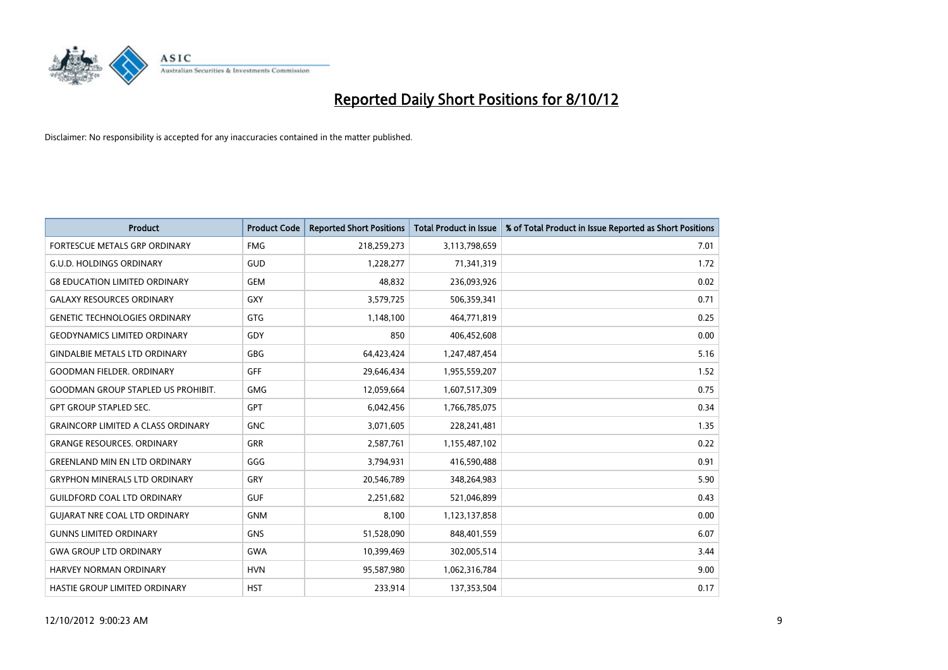

| <b>Product</b>                            | <b>Product Code</b> | <b>Reported Short Positions</b> | <b>Total Product in Issue</b> | % of Total Product in Issue Reported as Short Positions |
|-------------------------------------------|---------------------|---------------------------------|-------------------------------|---------------------------------------------------------|
| <b>FORTESCUE METALS GRP ORDINARY</b>      | <b>FMG</b>          | 218,259,273                     | 3,113,798,659                 | 7.01                                                    |
| <b>G.U.D. HOLDINGS ORDINARY</b>           | <b>GUD</b>          | 1,228,277                       | 71,341,319                    | 1.72                                                    |
| <b>G8 EDUCATION LIMITED ORDINARY</b>      | <b>GEM</b>          | 48,832                          | 236,093,926                   | 0.02                                                    |
| <b>GALAXY RESOURCES ORDINARY</b>          | <b>GXY</b>          | 3,579,725                       | 506,359,341                   | 0.71                                                    |
| <b>GENETIC TECHNOLOGIES ORDINARY</b>      | <b>GTG</b>          | 1,148,100                       | 464,771,819                   | 0.25                                                    |
| <b>GEODYNAMICS LIMITED ORDINARY</b>       | GDY                 | 850                             | 406,452,608                   | 0.00                                                    |
| <b>GINDALBIE METALS LTD ORDINARY</b>      | <b>GBG</b>          | 64,423,424                      | 1,247,487,454                 | 5.16                                                    |
| <b>GOODMAN FIELDER, ORDINARY</b>          | GFF                 | 29,646,434                      | 1,955,559,207                 | 1.52                                                    |
| <b>GOODMAN GROUP STAPLED US PROHIBIT.</b> | <b>GMG</b>          | 12,059,664                      | 1,607,517,309                 | 0.75                                                    |
| <b>GPT GROUP STAPLED SEC.</b>             | <b>GPT</b>          | 6,042,456                       | 1,766,785,075                 | 0.34                                                    |
| <b>GRAINCORP LIMITED A CLASS ORDINARY</b> | <b>GNC</b>          | 3,071,605                       | 228,241,481                   | 1.35                                                    |
| <b>GRANGE RESOURCES, ORDINARY</b>         | <b>GRR</b>          | 2,587,761                       | 1,155,487,102                 | 0.22                                                    |
| <b>GREENLAND MIN EN LTD ORDINARY</b>      | GGG                 | 3,794,931                       | 416,590,488                   | 0.91                                                    |
| <b>GRYPHON MINERALS LTD ORDINARY</b>      | GRY                 | 20,546,789                      | 348,264,983                   | 5.90                                                    |
| <b>GUILDFORD COAL LTD ORDINARY</b>        | <b>GUF</b>          | 2,251,682                       | 521,046,899                   | 0.43                                                    |
| <b>GUIARAT NRE COAL LTD ORDINARY</b>      | <b>GNM</b>          | 8,100                           | 1,123,137,858                 | 0.00                                                    |
| <b>GUNNS LIMITED ORDINARY</b>             | <b>GNS</b>          | 51,528,090                      | 848,401,559                   | 6.07                                                    |
| <b>GWA GROUP LTD ORDINARY</b>             | <b>GWA</b>          | 10,399,469                      | 302,005,514                   | 3.44                                                    |
| HARVEY NORMAN ORDINARY                    | <b>HVN</b>          | 95,587,980                      | 1,062,316,784                 | 9.00                                                    |
| <b>HASTIE GROUP LIMITED ORDINARY</b>      | <b>HST</b>          | 233.914                         | 137,353,504                   | 0.17                                                    |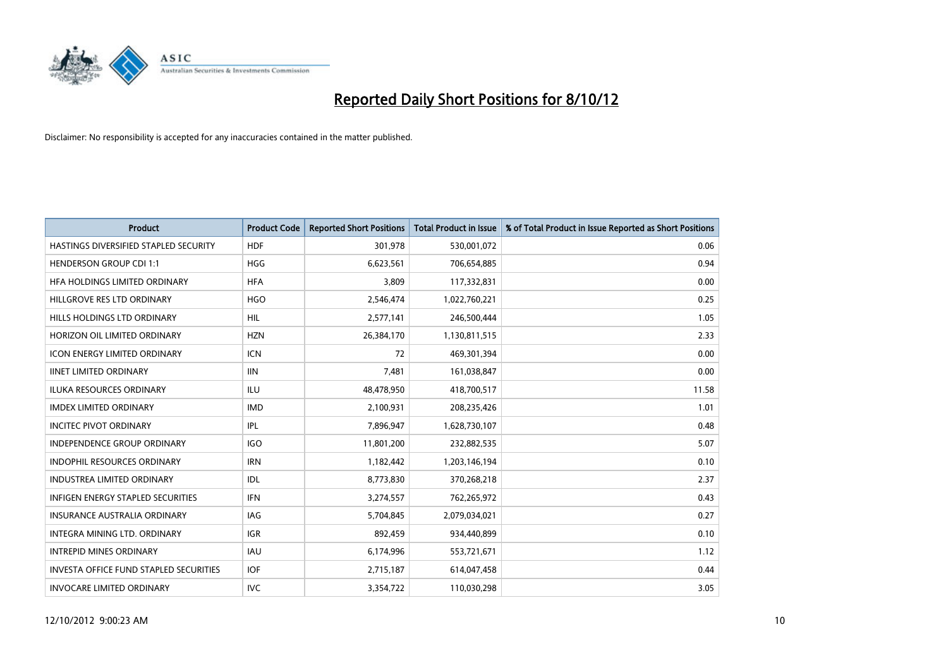

| <b>Product</b>                                | <b>Product Code</b> | <b>Reported Short Positions</b> | <b>Total Product in Issue</b> | % of Total Product in Issue Reported as Short Positions |
|-----------------------------------------------|---------------------|---------------------------------|-------------------------------|---------------------------------------------------------|
| HASTINGS DIVERSIFIED STAPLED SECURITY         | <b>HDF</b>          | 301,978                         | 530,001,072                   | 0.06                                                    |
| <b>HENDERSON GROUP CDI 1:1</b>                | <b>HGG</b>          | 6,623,561                       | 706,654,885                   | 0.94                                                    |
| HFA HOLDINGS LIMITED ORDINARY                 | <b>HFA</b>          | 3.809                           | 117,332,831                   | 0.00                                                    |
| HILLGROVE RES LTD ORDINARY                    | <b>HGO</b>          | 2,546,474                       | 1,022,760,221                 | 0.25                                                    |
| HILLS HOLDINGS LTD ORDINARY                   | <b>HIL</b>          | 2,577,141                       | 246,500,444                   | 1.05                                                    |
| HORIZON OIL LIMITED ORDINARY                  | <b>HZN</b>          | 26,384,170                      | 1,130,811,515                 | 2.33                                                    |
| <b>ICON ENERGY LIMITED ORDINARY</b>           | <b>ICN</b>          | 72                              | 469,301,394                   | 0.00                                                    |
| <b>IINET LIMITED ORDINARY</b>                 | <b>IIN</b>          | 7,481                           | 161,038,847                   | 0.00                                                    |
| <b>ILUKA RESOURCES ORDINARY</b>               | ILU                 | 48,478,950                      | 418,700,517                   | 11.58                                                   |
| <b>IMDEX LIMITED ORDINARY</b>                 | <b>IMD</b>          | 2,100,931                       | 208,235,426                   | 1.01                                                    |
| <b>INCITEC PIVOT ORDINARY</b>                 | IPL                 | 7,896,947                       | 1,628,730,107                 | 0.48                                                    |
| <b>INDEPENDENCE GROUP ORDINARY</b>            | <b>IGO</b>          | 11,801,200                      | 232,882,535                   | 5.07                                                    |
| INDOPHIL RESOURCES ORDINARY                   | <b>IRN</b>          | 1,182,442                       | 1,203,146,194                 | 0.10                                                    |
| <b>INDUSTREA LIMITED ORDINARY</b>             | IDL                 | 8,773,830                       | 370,268,218                   | 2.37                                                    |
| <b>INFIGEN ENERGY STAPLED SECURITIES</b>      | <b>IFN</b>          | 3,274,557                       | 762,265,972                   | 0.43                                                    |
| INSURANCE AUSTRALIA ORDINARY                  | IAG                 | 5,704,845                       | 2,079,034,021                 | 0.27                                                    |
| INTEGRA MINING LTD. ORDINARY                  | <b>IGR</b>          | 892,459                         | 934,440,899                   | 0.10                                                    |
| <b>INTREPID MINES ORDINARY</b>                | <b>IAU</b>          | 6,174,996                       | 553,721,671                   | 1.12                                                    |
| <b>INVESTA OFFICE FUND STAPLED SECURITIES</b> | <b>IOF</b>          | 2,715,187                       | 614,047,458                   | 0.44                                                    |
| <b>INVOCARE LIMITED ORDINARY</b>              | IVC                 | 3,354,722                       | 110,030,298                   | 3.05                                                    |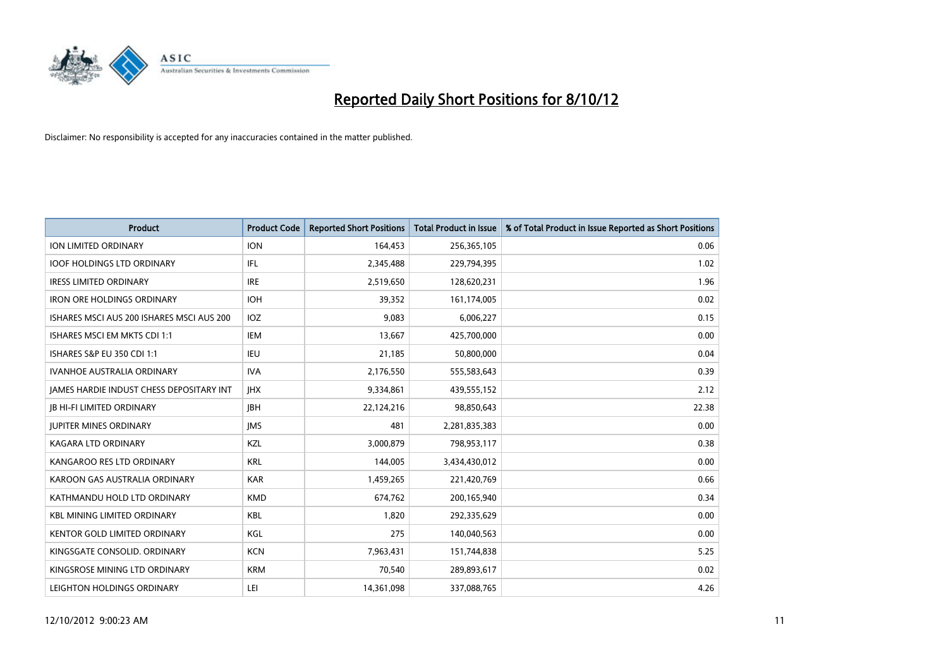

| <b>Product</b>                            | <b>Product Code</b> | <b>Reported Short Positions</b> | <b>Total Product in Issue</b> | % of Total Product in Issue Reported as Short Positions |
|-------------------------------------------|---------------------|---------------------------------|-------------------------------|---------------------------------------------------------|
| <b>ION LIMITED ORDINARY</b>               | <b>ION</b>          | 164,453                         | 256,365,105                   | 0.06                                                    |
| <b>IOOF HOLDINGS LTD ORDINARY</b>         | <b>IFL</b>          | 2,345,488                       | 229,794,395                   | 1.02                                                    |
| <b>IRESS LIMITED ORDINARY</b>             | <b>IRE</b>          | 2,519,650                       | 128,620,231                   | 1.96                                                    |
| <b>IRON ORE HOLDINGS ORDINARY</b>         | <b>IOH</b>          | 39,352                          | 161,174,005                   | 0.02                                                    |
| ISHARES MSCI AUS 200 ISHARES MSCI AUS 200 | <b>IOZ</b>          | 9.083                           | 6,006,227                     | 0.15                                                    |
| ISHARES MSCI EM MKTS CDI 1:1              | IEM                 | 13,667                          | 425,700,000                   | 0.00                                                    |
| <b>ISHARES S&amp;P EU 350 CDI 1:1</b>     | IEU                 | 21,185                          | 50,800,000                    | 0.04                                                    |
| <b>IVANHOE AUSTRALIA ORDINARY</b>         | <b>IVA</b>          | 2,176,550                       | 555,583,643                   | 0.39                                                    |
| JAMES HARDIE INDUST CHESS DEPOSITARY INT  | <b>IHX</b>          | 9,334,861                       | 439,555,152                   | 2.12                                                    |
| <b>JB HI-FI LIMITED ORDINARY</b>          | <b>IBH</b>          | 22,124,216                      | 98,850,643                    | 22.38                                                   |
| <b>JUPITER MINES ORDINARY</b>             | <b>IMS</b>          | 481                             | 2,281,835,383                 | 0.00                                                    |
| <b>KAGARA LTD ORDINARY</b>                | <b>KZL</b>          | 3,000,879                       | 798,953,117                   | 0.38                                                    |
| KANGAROO RES LTD ORDINARY                 | <b>KRL</b>          | 144,005                         | 3,434,430,012                 | 0.00                                                    |
| KAROON GAS AUSTRALIA ORDINARY             | <b>KAR</b>          | 1,459,265                       | 221,420,769                   | 0.66                                                    |
| KATHMANDU HOLD LTD ORDINARY               | <b>KMD</b>          | 674,762                         | 200,165,940                   | 0.34                                                    |
| <b>KBL MINING LIMITED ORDINARY</b>        | <b>KBL</b>          | 1,820                           | 292,335,629                   | 0.00                                                    |
| <b>KENTOR GOLD LIMITED ORDINARY</b>       | KGL                 | 275                             | 140,040,563                   | 0.00                                                    |
| KINGSGATE CONSOLID. ORDINARY              | <b>KCN</b>          | 7,963,431                       | 151,744,838                   | 5.25                                                    |
| KINGSROSE MINING LTD ORDINARY             | <b>KRM</b>          | 70,540                          | 289,893,617                   | 0.02                                                    |
| LEIGHTON HOLDINGS ORDINARY                | LEI                 | 14,361,098                      | 337,088,765                   | 4.26                                                    |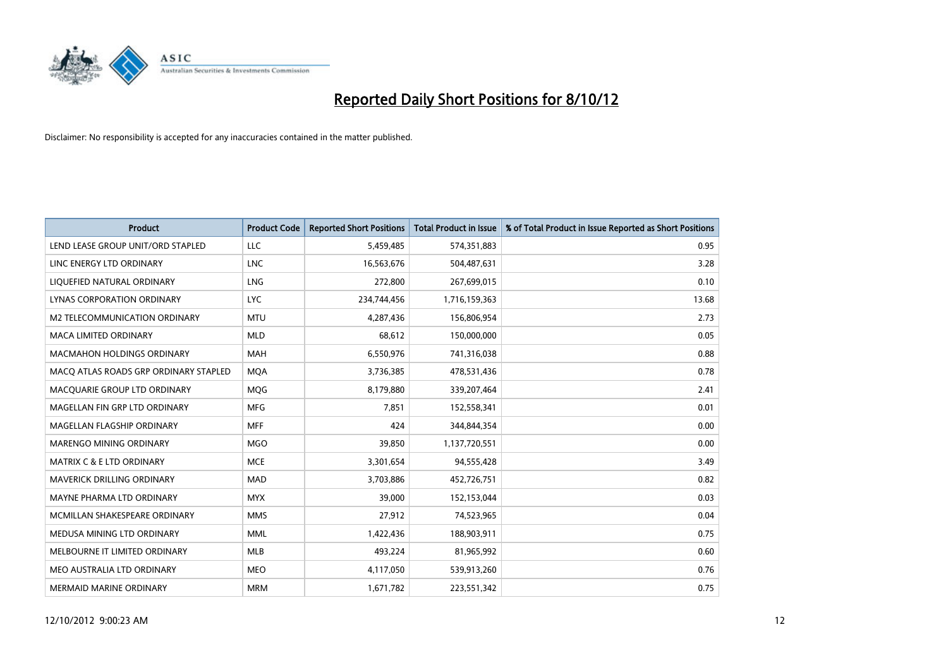

| <b>Product</b>                        | <b>Product Code</b> | <b>Reported Short Positions</b> | <b>Total Product in Issue</b> | % of Total Product in Issue Reported as Short Positions |
|---------------------------------------|---------------------|---------------------------------|-------------------------------|---------------------------------------------------------|
| LEND LEASE GROUP UNIT/ORD STAPLED     | LLC                 | 5,459,485                       | 574,351,883                   | 0.95                                                    |
| LINC ENERGY LTD ORDINARY              | <b>LNC</b>          | 16,563,676                      | 504,487,631                   | 3.28                                                    |
| LIQUEFIED NATURAL ORDINARY            | <b>LNG</b>          | 272,800                         | 267,699,015                   | 0.10                                                    |
| LYNAS CORPORATION ORDINARY            | <b>LYC</b>          | 234,744,456                     | 1,716,159,363                 | 13.68                                                   |
| M2 TELECOMMUNICATION ORDINARY         | <b>MTU</b>          | 4,287,436                       | 156,806,954                   | 2.73                                                    |
| <b>MACA LIMITED ORDINARY</b>          | <b>MLD</b>          | 68,612                          | 150,000,000                   | 0.05                                                    |
| <b>MACMAHON HOLDINGS ORDINARY</b>     | <b>MAH</b>          | 6,550,976                       | 741,316,038                   | 0.88                                                    |
| MACQ ATLAS ROADS GRP ORDINARY STAPLED | <b>MOA</b>          | 3,736,385                       | 478,531,436                   | 0.78                                                    |
| MACQUARIE GROUP LTD ORDINARY          | <b>MOG</b>          | 8,179,880                       | 339,207,464                   | 2.41                                                    |
| MAGELLAN FIN GRP LTD ORDINARY         | <b>MFG</b>          | 7,851                           | 152,558,341                   | 0.01                                                    |
| MAGELLAN FLAGSHIP ORDINARY            | <b>MFF</b>          | 424                             | 344,844,354                   | 0.00                                                    |
| <b>MARENGO MINING ORDINARY</b>        | <b>MGO</b>          | 39,850                          | 1,137,720,551                 | 0.00                                                    |
| MATRIX C & E LTD ORDINARY             | <b>MCE</b>          | 3,301,654                       | 94,555,428                    | 3.49                                                    |
| <b>MAVERICK DRILLING ORDINARY</b>     | <b>MAD</b>          | 3,703,886                       | 452,726,751                   | 0.82                                                    |
| MAYNE PHARMA LTD ORDINARY             | <b>MYX</b>          | 39,000                          | 152,153,044                   | 0.03                                                    |
| MCMILLAN SHAKESPEARE ORDINARY         | <b>MMS</b>          | 27,912                          | 74,523,965                    | 0.04                                                    |
| MEDUSA MINING LTD ORDINARY            | <b>MML</b>          | 1,422,436                       | 188,903,911                   | 0.75                                                    |
| MELBOURNE IT LIMITED ORDINARY         | <b>MLB</b>          | 493,224                         | 81,965,992                    | 0.60                                                    |
| MEO AUSTRALIA LTD ORDINARY            | <b>MEO</b>          | 4,117,050                       | 539,913,260                   | 0.76                                                    |
| MERMAID MARINE ORDINARY               | <b>MRM</b>          | 1,671,782                       | 223,551,342                   | 0.75                                                    |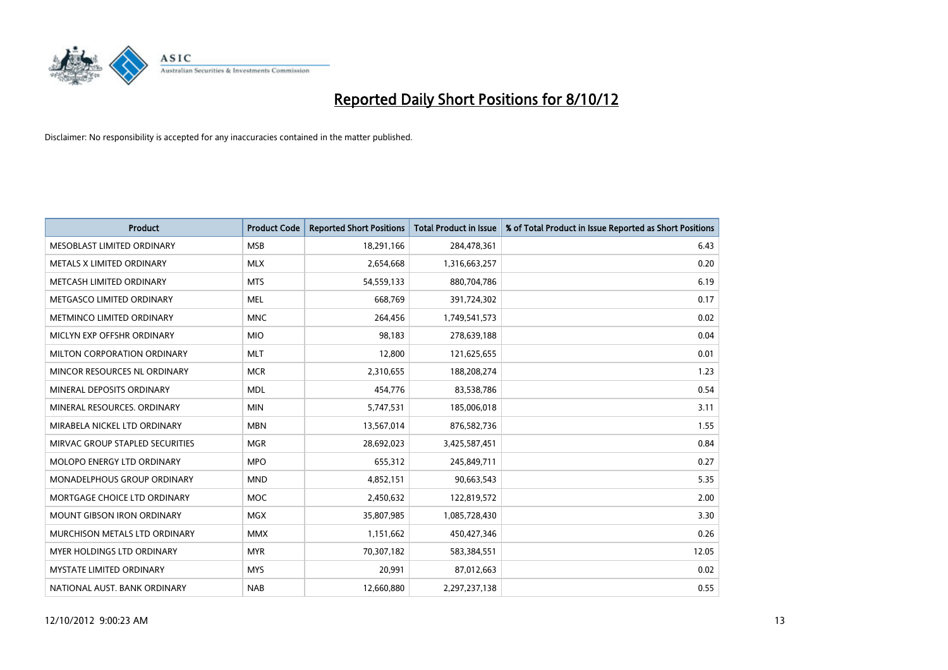

| <b>Product</b>                       | <b>Product Code</b> | <b>Reported Short Positions</b> | <b>Total Product in Issue</b> | % of Total Product in Issue Reported as Short Positions |
|--------------------------------------|---------------------|---------------------------------|-------------------------------|---------------------------------------------------------|
| MESOBLAST LIMITED ORDINARY           | <b>MSB</b>          | 18,291,166                      | 284,478,361                   | 6.43                                                    |
| METALS X LIMITED ORDINARY            | <b>MLX</b>          | 2,654,668                       | 1,316,663,257                 | 0.20                                                    |
| METCASH LIMITED ORDINARY             | <b>MTS</b>          | 54,559,133                      | 880,704,786                   | 6.19                                                    |
| METGASCO LIMITED ORDINARY            | <b>MEL</b>          | 668,769                         | 391,724,302                   | 0.17                                                    |
| METMINCO LIMITED ORDINARY            | <b>MNC</b>          | 264,456                         | 1,749,541,573                 | 0.02                                                    |
| MICLYN EXP OFFSHR ORDINARY           | <b>MIO</b>          | 98,183                          | 278,639,188                   | 0.04                                                    |
| MILTON CORPORATION ORDINARY          | <b>MLT</b>          | 12,800                          | 121,625,655                   | 0.01                                                    |
| MINCOR RESOURCES NL ORDINARY         | <b>MCR</b>          | 2,310,655                       | 188,208,274                   | 1.23                                                    |
| MINERAL DEPOSITS ORDINARY            | <b>MDL</b>          | 454,776                         | 83,538,786                    | 0.54                                                    |
| MINERAL RESOURCES, ORDINARY          | <b>MIN</b>          | 5,747,531                       | 185,006,018                   | 3.11                                                    |
| MIRABELA NICKEL LTD ORDINARY         | <b>MBN</b>          | 13,567,014                      | 876,582,736                   | 1.55                                                    |
| MIRVAC GROUP STAPLED SECURITIES      | <b>MGR</b>          | 28,692,023                      | 3,425,587,451                 | 0.84                                                    |
| MOLOPO ENERGY LTD ORDINARY           | <b>MPO</b>          | 655,312                         | 245,849,711                   | 0.27                                                    |
| <b>MONADELPHOUS GROUP ORDINARY</b>   | <b>MND</b>          | 4,852,151                       | 90,663,543                    | 5.35                                                    |
| MORTGAGE CHOICE LTD ORDINARY         | <b>MOC</b>          | 2,450,632                       | 122,819,572                   | 2.00                                                    |
| MOUNT GIBSON IRON ORDINARY           | <b>MGX</b>          | 35,807,985                      | 1,085,728,430                 | 3.30                                                    |
| <b>MURCHISON METALS LTD ORDINARY</b> | <b>MMX</b>          | 1,151,662                       | 450,427,346                   | 0.26                                                    |
| MYER HOLDINGS LTD ORDINARY           | <b>MYR</b>          | 70,307,182                      | 583,384,551                   | 12.05                                                   |
| <b>MYSTATE LIMITED ORDINARY</b>      | <b>MYS</b>          | 20,991                          | 87,012,663                    | 0.02                                                    |
| NATIONAL AUST. BANK ORDINARY         | <b>NAB</b>          | 12,660,880                      | 2,297,237,138                 | 0.55                                                    |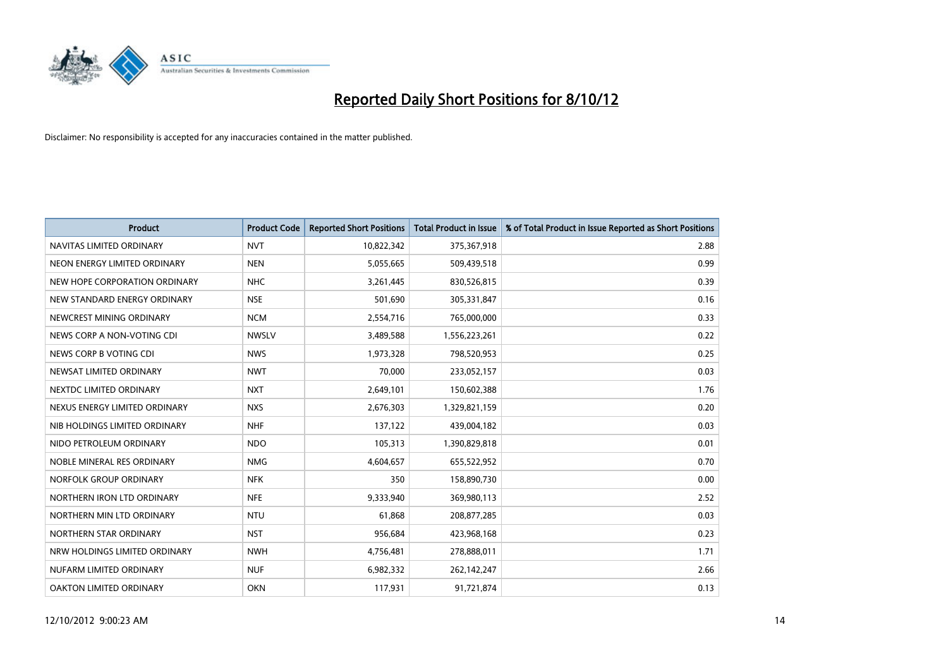

| <b>Product</b>                | <b>Product Code</b> | <b>Reported Short Positions</b> | <b>Total Product in Issue</b> | % of Total Product in Issue Reported as Short Positions |
|-------------------------------|---------------------|---------------------------------|-------------------------------|---------------------------------------------------------|
| NAVITAS LIMITED ORDINARY      | <b>NVT</b>          | 10,822,342                      | 375,367,918                   | 2.88                                                    |
| NEON ENERGY LIMITED ORDINARY  | <b>NEN</b>          | 5,055,665                       | 509,439,518                   | 0.99                                                    |
| NEW HOPE CORPORATION ORDINARY | <b>NHC</b>          | 3,261,445                       | 830,526,815                   | 0.39                                                    |
| NEW STANDARD ENERGY ORDINARY  | <b>NSE</b>          | 501,690                         | 305,331,847                   | 0.16                                                    |
| NEWCREST MINING ORDINARY      | <b>NCM</b>          | 2,554,716                       | 765,000,000                   | 0.33                                                    |
| NEWS CORP A NON-VOTING CDI    | <b>NWSLV</b>        | 3,489,588                       | 1,556,223,261                 | 0.22                                                    |
| NEWS CORP B VOTING CDI        | <b>NWS</b>          | 1,973,328                       | 798,520,953                   | 0.25                                                    |
| NEWSAT LIMITED ORDINARY       | <b>NWT</b>          | 70,000                          | 233,052,157                   | 0.03                                                    |
| NEXTDC LIMITED ORDINARY       | <b>NXT</b>          | 2,649,101                       | 150,602,388                   | 1.76                                                    |
| NEXUS ENERGY LIMITED ORDINARY | <b>NXS</b>          | 2,676,303                       | 1,329,821,159                 | 0.20                                                    |
| NIB HOLDINGS LIMITED ORDINARY | <b>NHF</b>          | 137,122                         | 439,004,182                   | 0.03                                                    |
| NIDO PETROLEUM ORDINARY       | <b>NDO</b>          | 105,313                         | 1,390,829,818                 | 0.01                                                    |
| NOBLE MINERAL RES ORDINARY    | <b>NMG</b>          | 4,604,657                       | 655,522,952                   | 0.70                                                    |
| NORFOLK GROUP ORDINARY        | <b>NFK</b>          | 350                             | 158,890,730                   | 0.00                                                    |
| NORTHERN IRON LTD ORDINARY    | <b>NFE</b>          | 9,333,940                       | 369,980,113                   | 2.52                                                    |
| NORTHERN MIN LTD ORDINARY     | <b>NTU</b>          | 61,868                          | 208,877,285                   | 0.03                                                    |
| NORTHERN STAR ORDINARY        | <b>NST</b>          | 956,684                         | 423,968,168                   | 0.23                                                    |
| NRW HOLDINGS LIMITED ORDINARY | <b>NWH</b>          | 4,756,481                       | 278,888,011                   | 1.71                                                    |
| NUFARM LIMITED ORDINARY       | <b>NUF</b>          | 6,982,332                       | 262,142,247                   | 2.66                                                    |
| OAKTON LIMITED ORDINARY       | <b>OKN</b>          | 117,931                         | 91,721,874                    | 0.13                                                    |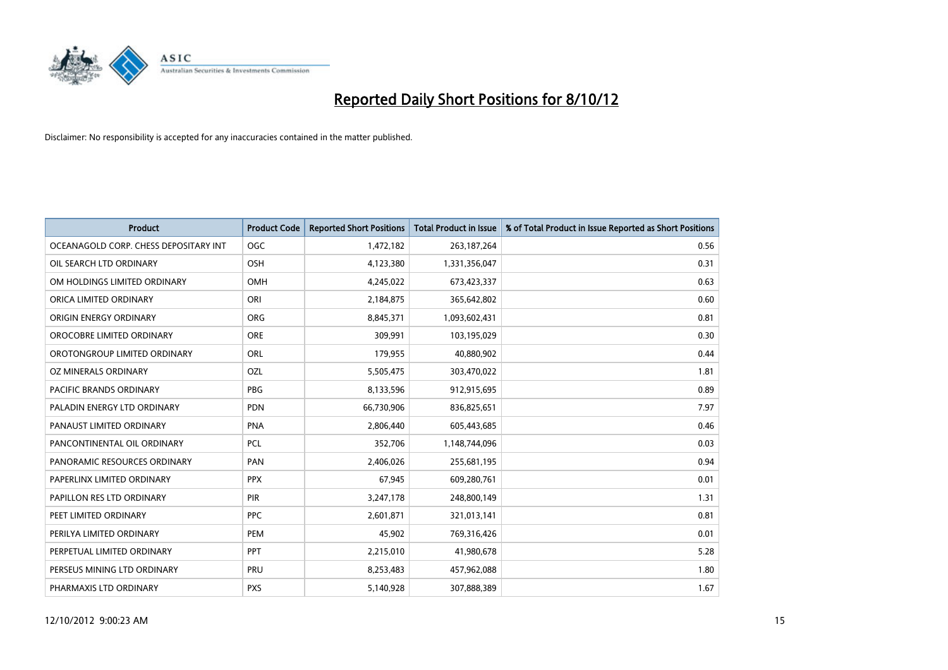

| <b>Product</b>                        | <b>Product Code</b> | <b>Reported Short Positions</b> | <b>Total Product in Issue</b> | % of Total Product in Issue Reported as Short Positions |
|---------------------------------------|---------------------|---------------------------------|-------------------------------|---------------------------------------------------------|
| OCEANAGOLD CORP. CHESS DEPOSITARY INT | <b>OGC</b>          | 1,472,182                       | 263, 187, 264                 | 0.56                                                    |
| OIL SEARCH LTD ORDINARY               | <b>OSH</b>          | 4,123,380                       | 1,331,356,047                 | 0.31                                                    |
| OM HOLDINGS LIMITED ORDINARY          | <b>OMH</b>          | 4,245,022                       | 673,423,337                   | 0.63                                                    |
| ORICA LIMITED ORDINARY                | ORI                 | 2,184,875                       | 365,642,802                   | 0.60                                                    |
| ORIGIN ENERGY ORDINARY                | <b>ORG</b>          | 8,845,371                       | 1,093,602,431                 | 0.81                                                    |
| OROCOBRE LIMITED ORDINARY             | <b>ORE</b>          | 309,991                         | 103,195,029                   | 0.30                                                    |
| OROTONGROUP LIMITED ORDINARY          | <b>ORL</b>          | 179,955                         | 40,880,902                    | 0.44                                                    |
| OZ MINERALS ORDINARY                  | OZL                 | 5,505,475                       | 303,470,022                   | 1.81                                                    |
| PACIFIC BRANDS ORDINARY               | <b>PBG</b>          | 8,133,596                       | 912,915,695                   | 0.89                                                    |
| PALADIN ENERGY LTD ORDINARY           | <b>PDN</b>          | 66,730,906                      | 836,825,651                   | 7.97                                                    |
| PANAUST LIMITED ORDINARY              | <b>PNA</b>          | 2,806,440                       | 605,443,685                   | 0.46                                                    |
| PANCONTINENTAL OIL ORDINARY           | <b>PCL</b>          | 352,706                         | 1,148,744,096                 | 0.03                                                    |
| PANORAMIC RESOURCES ORDINARY          | PAN                 | 2,406,026                       | 255,681,195                   | 0.94                                                    |
| PAPERLINX LIMITED ORDINARY            | <b>PPX</b>          | 67,945                          | 609,280,761                   | 0.01                                                    |
| PAPILLON RES LTD ORDINARY             | <b>PIR</b>          | 3,247,178                       | 248,800,149                   | 1.31                                                    |
| PEET LIMITED ORDINARY                 | <b>PPC</b>          | 2,601,871                       | 321,013,141                   | 0.81                                                    |
| PERILYA LIMITED ORDINARY              | PEM                 | 45,902                          | 769,316,426                   | 0.01                                                    |
| PERPETUAL LIMITED ORDINARY            | <b>PPT</b>          | 2,215,010                       | 41,980,678                    | 5.28                                                    |
| PERSEUS MINING LTD ORDINARY           | PRU                 | 8,253,483                       | 457,962,088                   | 1.80                                                    |
| PHARMAXIS LTD ORDINARY                | <b>PXS</b>          | 5,140,928                       | 307,888,389                   | 1.67                                                    |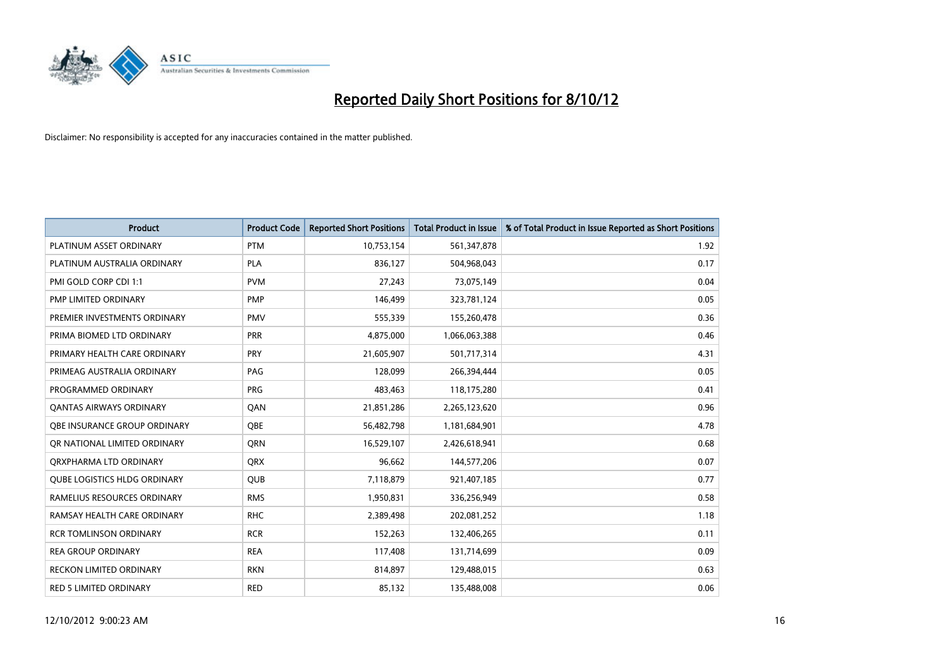

| <b>Product</b>                      | <b>Product Code</b> | <b>Reported Short Positions</b> | <b>Total Product in Issue</b> | % of Total Product in Issue Reported as Short Positions |
|-------------------------------------|---------------------|---------------------------------|-------------------------------|---------------------------------------------------------|
| PLATINUM ASSET ORDINARY             | <b>PTM</b>          | 10,753,154                      | 561,347,878                   | 1.92                                                    |
| PLATINUM AUSTRALIA ORDINARY         | <b>PLA</b>          | 836,127                         | 504,968,043                   | 0.17                                                    |
| PMI GOLD CORP CDI 1:1               | <b>PVM</b>          | 27,243                          | 73,075,149                    | 0.04                                                    |
| PMP LIMITED ORDINARY                | <b>PMP</b>          | 146,499                         | 323,781,124                   | 0.05                                                    |
| PREMIER INVESTMENTS ORDINARY        | <b>PMV</b>          | 555,339                         | 155,260,478                   | 0.36                                                    |
| PRIMA BIOMED LTD ORDINARY           | <b>PRR</b>          | 4,875,000                       | 1,066,063,388                 | 0.46                                                    |
| PRIMARY HEALTH CARE ORDINARY        | PRY                 | 21,605,907                      | 501,717,314                   | 4.31                                                    |
| PRIMEAG AUSTRALIA ORDINARY          | PAG                 | 128,099                         | 266,394,444                   | 0.05                                                    |
| PROGRAMMED ORDINARY                 | <b>PRG</b>          | 483,463                         | 118,175,280                   | 0.41                                                    |
| OANTAS AIRWAYS ORDINARY             | QAN                 | 21,851,286                      | 2,265,123,620                 | 0.96                                                    |
| OBE INSURANCE GROUP ORDINARY        | <b>OBE</b>          | 56,482,798                      | 1,181,684,901                 | 4.78                                                    |
| OR NATIONAL LIMITED ORDINARY        | <b>ORN</b>          | 16,529,107                      | 2,426,618,941                 | 0.68                                                    |
| ORXPHARMA LTD ORDINARY              | <b>QRX</b>          | 96,662                          | 144,577,206                   | 0.07                                                    |
| <b>OUBE LOGISTICS HLDG ORDINARY</b> | <b>OUB</b>          | 7,118,879                       | 921,407,185                   | 0.77                                                    |
| RAMELIUS RESOURCES ORDINARY         | <b>RMS</b>          | 1,950,831                       | 336,256,949                   | 0.58                                                    |
| RAMSAY HEALTH CARE ORDINARY         | <b>RHC</b>          | 2,389,498                       | 202,081,252                   | 1.18                                                    |
| <b>RCR TOMLINSON ORDINARY</b>       | <b>RCR</b>          | 152,263                         | 132,406,265                   | 0.11                                                    |
| <b>REA GROUP ORDINARY</b>           | <b>REA</b>          | 117,408                         | 131,714,699                   | 0.09                                                    |
| <b>RECKON LIMITED ORDINARY</b>      | <b>RKN</b>          | 814,897                         | 129,488,015                   | 0.63                                                    |
| <b>RED 5 LIMITED ORDINARY</b>       | <b>RED</b>          | 85,132                          | 135,488,008                   | 0.06                                                    |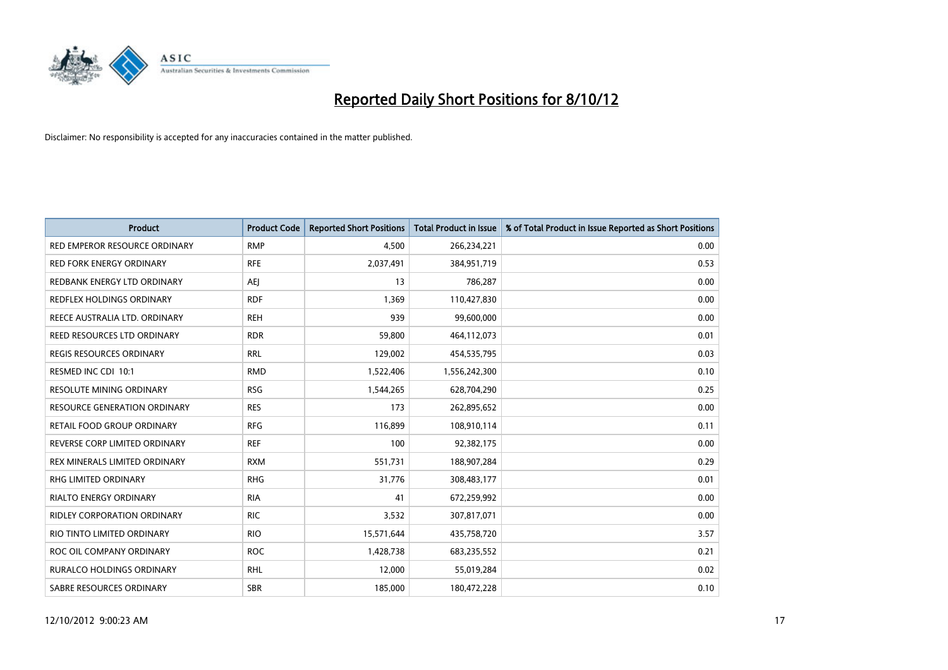

| <b>Product</b>                      | <b>Product Code</b> | <b>Reported Short Positions</b> | <b>Total Product in Issue</b> | % of Total Product in Issue Reported as Short Positions |
|-------------------------------------|---------------------|---------------------------------|-------------------------------|---------------------------------------------------------|
| RED EMPEROR RESOURCE ORDINARY       | <b>RMP</b>          | 4,500                           | 266,234,221                   | 0.00                                                    |
| <b>RED FORK ENERGY ORDINARY</b>     | <b>RFE</b>          | 2,037,491                       | 384,951,719                   | 0.53                                                    |
| REDBANK ENERGY LTD ORDINARY         | AEJ                 | 13                              | 786,287                       | 0.00                                                    |
| REDFLEX HOLDINGS ORDINARY           | <b>RDF</b>          | 1,369                           | 110,427,830                   | 0.00                                                    |
| REECE AUSTRALIA LTD. ORDINARY       | <b>REH</b>          | 939                             | 99,600,000                    | 0.00                                                    |
| REED RESOURCES LTD ORDINARY         | <b>RDR</b>          | 59,800                          | 464,112,073                   | 0.01                                                    |
| <b>REGIS RESOURCES ORDINARY</b>     | <b>RRL</b>          | 129,002                         | 454,535,795                   | 0.03                                                    |
| RESMED INC CDI 10:1                 | <b>RMD</b>          | 1,522,406                       | 1,556,242,300                 | 0.10                                                    |
| RESOLUTE MINING ORDINARY            | <b>RSG</b>          | 1,544,265                       | 628,704,290                   | 0.25                                                    |
| <b>RESOURCE GENERATION ORDINARY</b> | <b>RES</b>          | 173                             | 262,895,652                   | 0.00                                                    |
| RETAIL FOOD GROUP ORDINARY          | <b>RFG</b>          | 116,899                         | 108,910,114                   | 0.11                                                    |
| REVERSE CORP LIMITED ORDINARY       | <b>REF</b>          | 100                             | 92,382,175                    | 0.00                                                    |
| REX MINERALS LIMITED ORDINARY       | <b>RXM</b>          | 551,731                         | 188,907,284                   | 0.29                                                    |
| <b>RHG LIMITED ORDINARY</b>         | <b>RHG</b>          | 31.776                          | 308,483,177                   | 0.01                                                    |
| <b>RIALTO ENERGY ORDINARY</b>       | <b>RIA</b>          | 41                              | 672,259,992                   | 0.00                                                    |
| <b>RIDLEY CORPORATION ORDINARY</b>  | <b>RIC</b>          | 3,532                           | 307,817,071                   | 0.00                                                    |
| RIO TINTO LIMITED ORDINARY          | <b>RIO</b>          | 15,571,644                      | 435,758,720                   | 3.57                                                    |
| ROC OIL COMPANY ORDINARY            | <b>ROC</b>          | 1,428,738                       | 683,235,552                   | 0.21                                                    |
| <b>RURALCO HOLDINGS ORDINARY</b>    | <b>RHL</b>          | 12,000                          | 55,019,284                    | 0.02                                                    |
| SABRE RESOURCES ORDINARY            | <b>SBR</b>          | 185,000                         | 180.472.228                   | 0.10                                                    |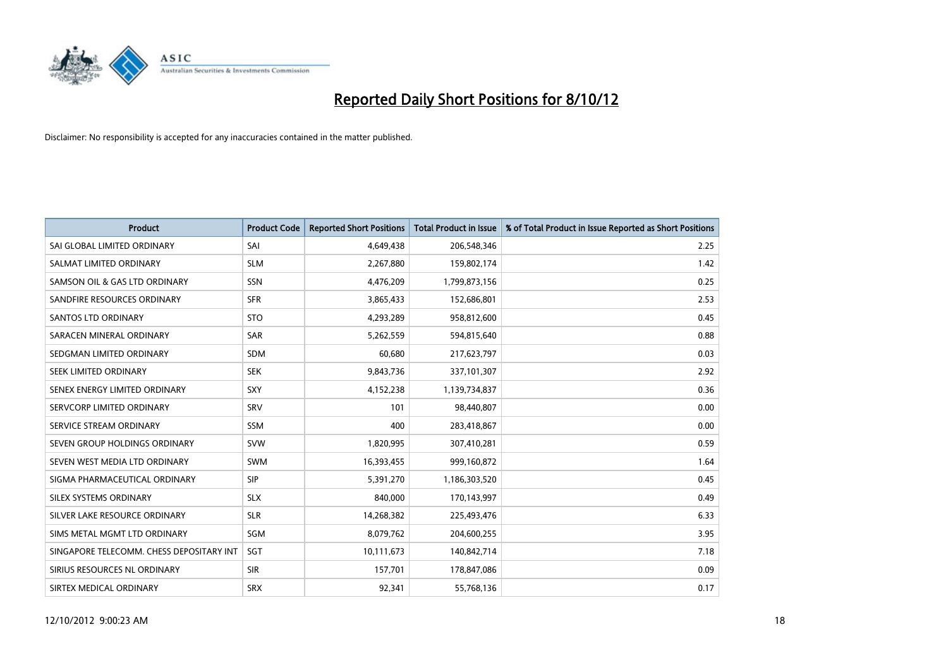

| <b>Product</b>                           | <b>Product Code</b> | <b>Reported Short Positions</b> | <b>Total Product in Issue</b> | % of Total Product in Issue Reported as Short Positions |
|------------------------------------------|---------------------|---------------------------------|-------------------------------|---------------------------------------------------------|
| SAI GLOBAL LIMITED ORDINARY              | SAI                 | 4,649,438                       | 206,548,346                   | 2.25                                                    |
| SALMAT LIMITED ORDINARY                  | <b>SLM</b>          | 2,267,880                       | 159,802,174                   | 1.42                                                    |
| SAMSON OIL & GAS LTD ORDINARY            | SSN                 | 4,476,209                       | 1,799,873,156                 | 0.25                                                    |
| SANDFIRE RESOURCES ORDINARY              | <b>SFR</b>          | 3,865,433                       | 152,686,801                   | 2.53                                                    |
| <b>SANTOS LTD ORDINARY</b>               | <b>STO</b>          | 4,293,289                       | 958,812,600                   | 0.45                                                    |
| SARACEN MINERAL ORDINARY                 | <b>SAR</b>          | 5,262,559                       | 594,815,640                   | 0.88                                                    |
| SEDGMAN LIMITED ORDINARY                 | <b>SDM</b>          | 60.680                          | 217,623,797                   | 0.03                                                    |
| SEEK LIMITED ORDINARY                    | <b>SEK</b>          | 9,843,736                       | 337,101,307                   | 2.92                                                    |
| SENEX ENERGY LIMITED ORDINARY            | <b>SXY</b>          | 4,152,238                       | 1,139,734,837                 | 0.36                                                    |
| SERVCORP LIMITED ORDINARY                | SRV                 | 101                             | 98,440,807                    | 0.00                                                    |
| SERVICE STREAM ORDINARY                  | <b>SSM</b>          | 400                             | 283,418,867                   | 0.00                                                    |
| SEVEN GROUP HOLDINGS ORDINARY            | <b>SVW</b>          | 1,820,995                       | 307,410,281                   | 0.59                                                    |
| SEVEN WEST MEDIA LTD ORDINARY            | <b>SWM</b>          | 16,393,455                      | 999,160,872                   | 1.64                                                    |
| SIGMA PHARMACEUTICAL ORDINARY            | <b>SIP</b>          | 5,391,270                       | 1,186,303,520                 | 0.45                                                    |
| SILEX SYSTEMS ORDINARY                   | <b>SLX</b>          | 840,000                         | 170,143,997                   | 0.49                                                    |
| SILVER LAKE RESOURCE ORDINARY            | <b>SLR</b>          | 14,268,382                      | 225,493,476                   | 6.33                                                    |
| SIMS METAL MGMT LTD ORDINARY             | SGM                 | 8,079,762                       | 204,600,255                   | 3.95                                                    |
| SINGAPORE TELECOMM. CHESS DEPOSITARY INT | <b>SGT</b>          | 10,111,673                      | 140,842,714                   | 7.18                                                    |
| SIRIUS RESOURCES NL ORDINARY             | <b>SIR</b>          | 157,701                         | 178,847,086                   | 0.09                                                    |
| SIRTEX MEDICAL ORDINARY                  | <b>SRX</b>          | 92.341                          | 55,768,136                    | 0.17                                                    |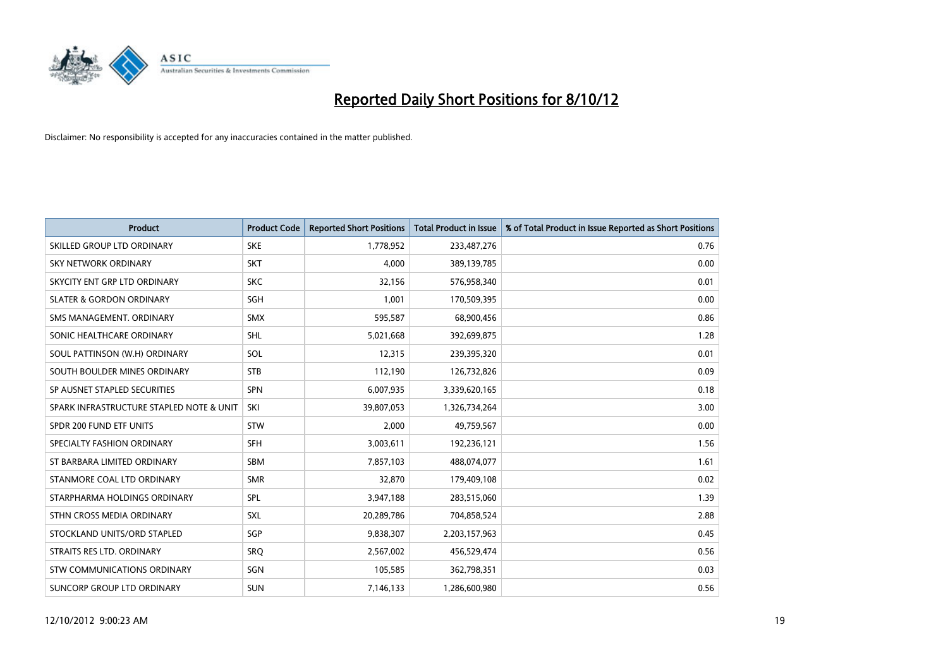

| <b>Product</b>                           | <b>Product Code</b> | <b>Reported Short Positions</b> | <b>Total Product in Issue</b> | % of Total Product in Issue Reported as Short Positions |
|------------------------------------------|---------------------|---------------------------------|-------------------------------|---------------------------------------------------------|
| SKILLED GROUP LTD ORDINARY               | <b>SKE</b>          | 1,778,952                       | 233,487,276                   | 0.76                                                    |
| SKY NETWORK ORDINARY                     | <b>SKT</b>          | 4,000                           | 389,139,785                   | 0.00                                                    |
| SKYCITY ENT GRP LTD ORDINARY             | <b>SKC</b>          | 32,156                          | 576,958,340                   | 0.01                                                    |
| <b>SLATER &amp; GORDON ORDINARY</b>      | <b>SGH</b>          | 1,001                           | 170,509,395                   | 0.00                                                    |
| SMS MANAGEMENT, ORDINARY                 | <b>SMX</b>          | 595,587                         | 68,900,456                    | 0.86                                                    |
| SONIC HEALTHCARE ORDINARY                | <b>SHL</b>          | 5,021,668                       | 392,699,875                   | 1.28                                                    |
| SOUL PATTINSON (W.H) ORDINARY            | SOL                 | 12,315                          | 239,395,320                   | 0.01                                                    |
| SOUTH BOULDER MINES ORDINARY             | <b>STB</b>          | 112,190                         | 126,732,826                   | 0.09                                                    |
| SP AUSNET STAPLED SECURITIES             | <b>SPN</b>          | 6,007,935                       | 3,339,620,165                 | 0.18                                                    |
| SPARK INFRASTRUCTURE STAPLED NOTE & UNIT | SKI                 | 39,807,053                      | 1,326,734,264                 | 3.00                                                    |
| SPDR 200 FUND ETF UNITS                  | <b>STW</b>          | 2,000                           | 49,759,567                    | 0.00                                                    |
| SPECIALTY FASHION ORDINARY               | <b>SFH</b>          | 3,003,611                       | 192,236,121                   | 1.56                                                    |
| ST BARBARA LIMITED ORDINARY              | <b>SBM</b>          | 7,857,103                       | 488,074,077                   | 1.61                                                    |
| STANMORE COAL LTD ORDINARY               | <b>SMR</b>          | 32,870                          | 179,409,108                   | 0.02                                                    |
| STARPHARMA HOLDINGS ORDINARY             | SPL                 | 3,947,188                       | 283,515,060                   | 1.39                                                    |
| STHN CROSS MEDIA ORDINARY                | SXL                 | 20,289,786                      | 704,858,524                   | 2.88                                                    |
| STOCKLAND UNITS/ORD STAPLED              | <b>SGP</b>          | 9,838,307                       | 2,203,157,963                 | 0.45                                                    |
| STRAITS RES LTD. ORDINARY                | SRQ                 | 2,567,002                       | 456,529,474                   | 0.56                                                    |
| STW COMMUNICATIONS ORDINARY              | SGN                 | 105,585                         | 362,798,351                   | 0.03                                                    |
| SUNCORP GROUP LTD ORDINARY               | <b>SUN</b>          | 7,146,133                       | 1,286,600,980                 | 0.56                                                    |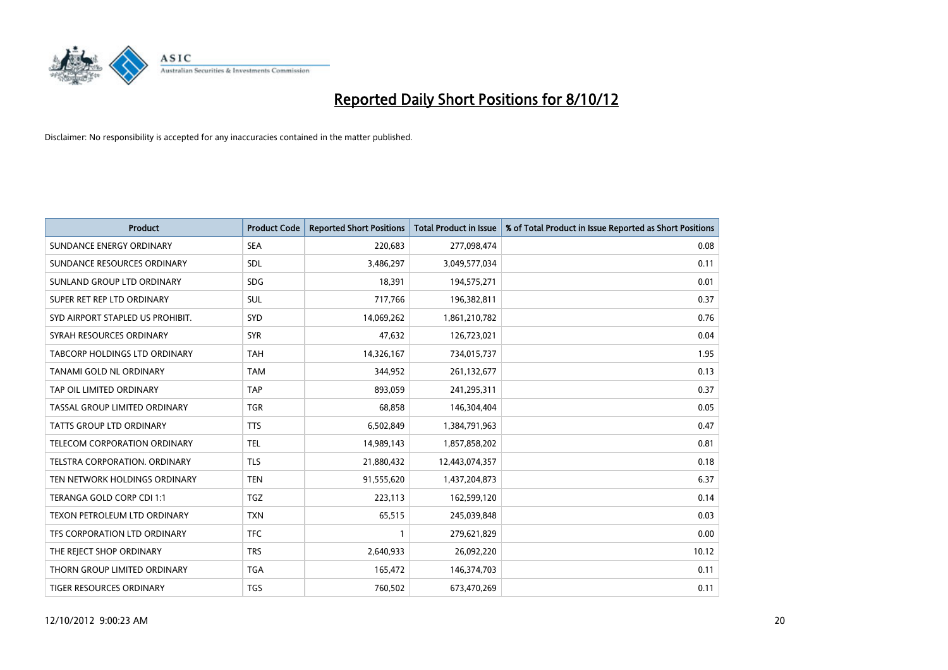

| <b>Product</b>                       | <b>Product Code</b> | <b>Reported Short Positions</b> | <b>Total Product in Issue</b> | % of Total Product in Issue Reported as Short Positions |
|--------------------------------------|---------------------|---------------------------------|-------------------------------|---------------------------------------------------------|
| SUNDANCE ENERGY ORDINARY             | <b>SEA</b>          | 220,683                         | 277,098,474                   | 0.08                                                    |
| SUNDANCE RESOURCES ORDINARY          | <b>SDL</b>          | 3,486,297                       | 3,049,577,034                 | 0.11                                                    |
| SUNLAND GROUP LTD ORDINARY           | <b>SDG</b>          | 18,391                          | 194,575,271                   | 0.01                                                    |
| SUPER RET REP LTD ORDINARY           | <b>SUL</b>          | 717,766                         | 196,382,811                   | 0.37                                                    |
| SYD AIRPORT STAPLED US PROHIBIT.     | <b>SYD</b>          | 14,069,262                      | 1,861,210,782                 | 0.76                                                    |
| SYRAH RESOURCES ORDINARY             | <b>SYR</b>          | 47,632                          | 126,723,021                   | 0.04                                                    |
| <b>TABCORP HOLDINGS LTD ORDINARY</b> | <b>TAH</b>          | 14,326,167                      | 734,015,737                   | 1.95                                                    |
| TANAMI GOLD NL ORDINARY              | <b>TAM</b>          | 344,952                         | 261,132,677                   | 0.13                                                    |
| TAP OIL LIMITED ORDINARY             | <b>TAP</b>          | 893,059                         | 241,295,311                   | 0.37                                                    |
| TASSAL GROUP LIMITED ORDINARY        | <b>TGR</b>          | 68,858                          | 146,304,404                   | 0.05                                                    |
| TATTS GROUP LTD ORDINARY             | <b>TTS</b>          | 6,502,849                       | 1,384,791,963                 | 0.47                                                    |
| <b>TELECOM CORPORATION ORDINARY</b>  | <b>TEL</b>          | 14,989,143                      | 1,857,858,202                 | 0.81                                                    |
| <b>TELSTRA CORPORATION, ORDINARY</b> | <b>TLS</b>          | 21,880,432                      | 12,443,074,357                | 0.18                                                    |
| TEN NETWORK HOLDINGS ORDINARY        | <b>TEN</b>          | 91,555,620                      | 1,437,204,873                 | 6.37                                                    |
| TERANGA GOLD CORP CDI 1:1            | <b>TGZ</b>          | 223,113                         | 162,599,120                   | 0.14                                                    |
| TEXON PETROLEUM LTD ORDINARY         | <b>TXN</b>          | 65,515                          | 245,039,848                   | 0.03                                                    |
| TFS CORPORATION LTD ORDINARY         | <b>TFC</b>          |                                 | 279,621,829                   | 0.00                                                    |
| THE REJECT SHOP ORDINARY             | <b>TRS</b>          | 2,640,933                       | 26,092,220                    | 10.12                                                   |
| THORN GROUP LIMITED ORDINARY         | <b>TGA</b>          | 165,472                         | 146,374,703                   | 0.11                                                    |
| TIGER RESOURCES ORDINARY             | <b>TGS</b>          | 760,502                         | 673,470,269                   | 0.11                                                    |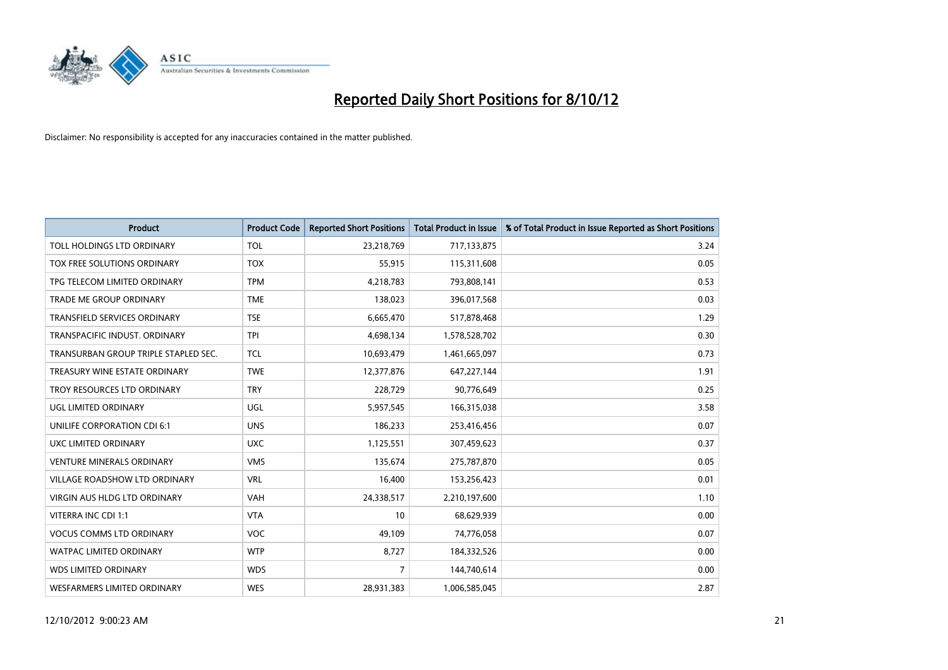

| <b>Product</b>                       | <b>Product Code</b> | <b>Reported Short Positions</b> | <b>Total Product in Issue</b> | % of Total Product in Issue Reported as Short Positions |
|--------------------------------------|---------------------|---------------------------------|-------------------------------|---------------------------------------------------------|
| TOLL HOLDINGS LTD ORDINARY           | <b>TOL</b>          | 23,218,769                      | 717,133,875                   | 3.24                                                    |
| TOX FREE SOLUTIONS ORDINARY          | <b>TOX</b>          | 55,915                          | 115,311,608                   | 0.05                                                    |
| TPG TELECOM LIMITED ORDINARY         | <b>TPM</b>          | 4,218,783                       | 793,808,141                   | 0.53                                                    |
| TRADE ME GROUP ORDINARY              | <b>TME</b>          | 138,023                         | 396,017,568                   | 0.03                                                    |
| <b>TRANSFIELD SERVICES ORDINARY</b>  | <b>TSE</b>          | 6,665,470                       | 517,878,468                   | 1.29                                                    |
| TRANSPACIFIC INDUST, ORDINARY        | <b>TPI</b>          | 4,698,134                       | 1,578,528,702                 | 0.30                                                    |
| TRANSURBAN GROUP TRIPLE STAPLED SEC. | <b>TCL</b>          | 10,693,479                      | 1,461,665,097                 | 0.73                                                    |
| TREASURY WINE ESTATE ORDINARY        | <b>TWE</b>          | 12,377,876                      | 647,227,144                   | 1.91                                                    |
| TROY RESOURCES LTD ORDINARY          | <b>TRY</b>          | 228,729                         | 90,776,649                    | 0.25                                                    |
| UGL LIMITED ORDINARY                 | <b>UGL</b>          | 5,957,545                       | 166,315,038                   | 3.58                                                    |
| UNILIFE CORPORATION CDI 6:1          | <b>UNS</b>          | 186,233                         | 253,416,456                   | 0.07                                                    |
| UXC LIMITED ORDINARY                 | <b>UXC</b>          | 1,125,551                       | 307,459,623                   | 0.37                                                    |
| <b>VENTURE MINERALS ORDINARY</b>     | <b>VMS</b>          | 135,674                         | 275,787,870                   | 0.05                                                    |
| <b>VILLAGE ROADSHOW LTD ORDINARY</b> | <b>VRL</b>          | 16,400                          | 153,256,423                   | 0.01                                                    |
| <b>VIRGIN AUS HLDG LTD ORDINARY</b>  | <b>VAH</b>          | 24,338,517                      | 2,210,197,600                 | 1.10                                                    |
| VITERRA INC CDI 1:1                  | <b>VTA</b>          | 10                              | 68,629,939                    | 0.00                                                    |
| <b>VOCUS COMMS LTD ORDINARY</b>      | <b>VOC</b>          | 49,109                          | 74,776,058                    | 0.07                                                    |
| WATPAC LIMITED ORDINARY              | <b>WTP</b>          | 8,727                           | 184,332,526                   | 0.00                                                    |
| <b>WDS LIMITED ORDINARY</b>          | <b>WDS</b>          | 7                               | 144,740,614                   | 0.00                                                    |
| <b>WESFARMERS LIMITED ORDINARY</b>   | <b>WES</b>          | 28,931,383                      | 1,006,585,045                 | 2.87                                                    |